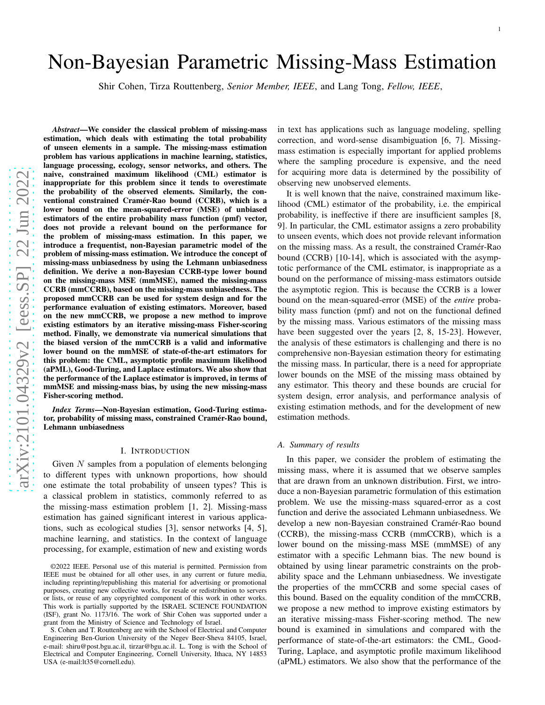# Non-Bayesian Parametric Missing-Mass Estimation

Shir Cohen, Tirza Routtenberg, *Senior Member, IEEE*, and Lang Tong, *Fellow, IEEE* ,

*Abstract*—We consider the classical problem of missing-mass estimation, which deals with estimating the total probability of unseen elements in a sample. The missing-mass estimation problem has various applications in machine learning, statistics, language processing, ecology, sensor networks, and others. The naive, constrained maximum likelihood (CML) estimator is inappropriate for this problem since it tends to overestimate the probability of the observed elements. Similarly, the conventional constrained Cramér-Rao bound (CCRB), which is a lower bound on the mean-squared-error (MSE) of unbiased estimators of the entire probability mass function (pmf) vector, does not provide a relevant bound on the performance for the problem of missing-mass estimation. In this paper, we introduce a frequentist, non-Bayesian parametric model of the problem of missing-mass estimation. We introduce the concept of missing-mass unbiasedness by using the Lehmann unbiasedness definition. We derive a non-Bayesian CCRB-type lower bound on the missing-mass MSE (mmMSE), named the missing-mass CCRB (mmCCRB), based on the missing-mass unbiasedness. The proposed mmCCRB can be used for system design and for the performance evaluation of existing estimators. Moreover, based on the new mmCCRB, we propose a new method to improve existing estimators by an iterative missing-mass Fisher-scoring method. Finally, we demonstrate via numerical simulations that the biased version of the mmCCRB is a valid and informative lower bound on the mmMSE of state-of-the-art estimators for this problem: the CML, asymptotic profile maximum likelihoo d (aPML), Good-Turing, and Laplace estimators. We also show that the performance of the Laplace estimator is improved, in terms of mmMSE and missing-mass bias, by using the new missing-mass Fisher-scoring method.

*Index Terms*—Non-Bayesian estimation, Good-Turing estimator, probability of missing mass, constrained Cramér-Rao bound, Lehmann unbiasedness

#### I. INTRODUCTION

Given N samples from a population of elements belonging to different types with unknown proportions, how should one estimate the total probability of unseen types? This is a classical problem in statistics, commonly referred to as the missing-mass estimation problem [1, 2]. Missing-mass estimation has gained significant interest in various applications, such as ecological studies [3], sensor networks [4, 5], machine learning, and statistics. In the context of languag e processing, for example, estimation of new and existing words in text has applications such as language modeling, spellin g correction, and word-sense disambiguation [6, 7]. Missing mass estimation is especially important for applied problems where the sampling procedure is expensive, and the need for acquiring more data is determined by the possibility of observing new unobserved elements.

It is well known that the naive, constrained maximum likelihood (CML) estimator of the probability, i.e. the empirical probability, is ineffective if there are insufficient samples [8, 9]. In particular, the CML estimator assigns a zero probability to unseen events, which does not provide relevant information on the missing mass. As a result, the constrained Cramér-Rao bound (CCRB) [10-14], which is associated with the asymptotic performance of the CML estimator, is inappropriate as a bound on the performance of missing-mass estimators outsid e the asymptotic region. This is because the CCRB is a lower bound on the mean-squared-error (MSE) of the *entire* probability mass function (pmf) and not on the functional defined by the missing mass. Various estimators of the missing mass have been suggested over the years [2, 8, 15-23]. However, the analysis of these estimators is challenging and there is no comprehensive non-Bayesian estimation theory for estimating the missing mass. In particular, there is a need for appropriate lower bounds on the MSE of the missing mass obtained by any estimator. This theory and these bounds are crucial for system design, error analysis, and performance analysis of existing estimation methods, and for the development of new estimation methods.

# *A. Summary of results*

In this paper, we consider the problem of estimating the missing mass, where it is assumed that we observe samples that are drawn from an unknown distribution. First, we intro duce a non-Bayesian parametric formulation of this estimation problem. We use the missing-mass squared-error as a cost function and derive the associated Lehmann unbiasedness. We develop a new non-Bayesian constrained Cramér-Rao bound (CCRB), the missing-mass CCRB (mmCCRB), which is a lower bound on the missing-mass MSE (mmMSE) of any estimator with a specific Lehmann bias. The new bound is obtained by using linear parametric constraints on the prob ability space and the Lehmann unbiasedness. We investigate the properties of the mmCCRB and some special cases of this bound. Based on the equality condition of the mmCCRB, we propose a new method to improve existing estimators by an iterative missing-mass Fisher-scoring method. The new bound is examined in simulations and compared with the performance of state-of-the-art estimators: the CML, Good - Turing, Laplace, and asymptotic profile maximum likelihood (aPML) estimators. We also show that the performance of the

<sup>©2022</sup> IEEE. Personal use of this material is permitted. Permission from IEEE must be obtained for all other uses, in any current or future media, including reprinting/republishing this material for advertising or promotional purposes, creating new collective works, for resale or redistribution to servers or lists, or reuse of any copyrighted component of this work in other works. This work is partially supported by the ISRAEL SCIENCE FOUNDATION (ISF), grant No. 1173/16. The work of Shir Cohen was supported under a grant from the Ministry of Science and Technology of Israel.

S. Cohen and T. Routtenberg are with the School of Electrical and Computer Engineering Ben-Gurion University of the Negev Beer-Sheva 84105, Israel, e-mail: shiru@post.bgu.ac.il, tirzar@bgu.ac.il. L. Tong is with the School of Electrical and Computer Engineering, Cornell University, Ithaca, NY 14853 USA (e-mail:lt35@cornell.edu).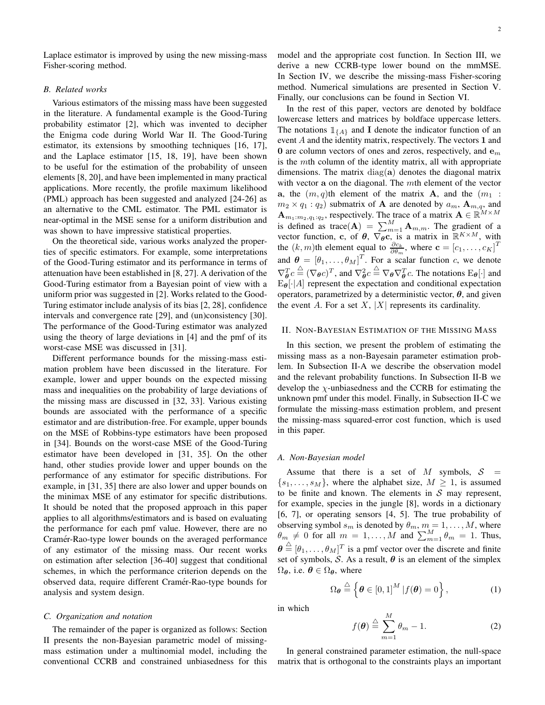Laplace estimator is improved by using the new missing-mass Fisher-scoring method.

# *B. Related works*

Various estimators of the missing mass have been suggested in the literature. A fundamental example is the Good-Turing probability estimator [2], which was invented to decipher the Enigma code during World War II. The Good-Turing estimator, its extensions by smoothing techniques [16, 17], and the Laplace estimator [15, 18, 19], have been shown to be useful for the estimation of the probability of unseen elements [8, 20], and have been implemented in many practical applications. More recently, the profile maximum likelihood (PML) approach has been suggested and analyzed [24-26] as an alternative to the CML estimator. The PML estimator is near-optimal in the MSE sense for a uniform distribution and was shown to have impressive statistical properties.

On the theoretical side, various works analyzed the properties of specific estimators. For example, some interpretations of the Good-Turing estimator and its performance in terms of attenuation have been established in [8, 27]. A derivation of the Good-Turing estimator from a Bayesian point of view with a uniform prior was suggested in [2]. Works related to the Good-Turing estimator include analysis of its bias [2, 28], confidence intervals and convergence rate [29], and (un)consistency [30]. The performance of the Good-Turing estimator was analyzed using the theory of large deviations in [4] and the pmf of its worst-case MSE was discussed in [31].

Different performance bounds for the missing-mass estimation problem have been discussed in the literature. For example, lower and upper bounds on the expected missing mass and inequalities on the probability of large deviations of the missing mass are discussed in [32, 33]. Various existing bounds are associated with the performance of a specific estimator and are distribution-free. For example, upper bounds on the MSE of Robbins-type estimators have been proposed in [34]. Bounds on the worst-case MSE of the Good-Turing estimator have been developed in [31, 35]. On the other hand, other studies provide lower and upper bounds on the performance of any estimator for specific distributions. For example, in [31, 35] there are also lower and upper bounds on the minimax MSE of any estimator for specific distributions. It should be noted that the proposed approach in this paper applies to all algorithms/estimators and is based on evaluating the performance for each pmf value. However, there are no Cramér-Rao-type lower bounds on the averaged performance of any estimator of the missing mass. Our recent works on estimation after selection [36-40] suggest that conditional schemes, in which the performance criterion depends on the observed data, require different Cramér-Rao-type bounds for analysis and system design.

# *C. Organization and notation*

The remainder of the paper is organized as follows: Section II presents the non-Bayesian parametric model of missingmass estimation under a multinomial model, including the conventional CCRB and constrained unbiasedness for this model and the appropriate cost function. In Section III, we derive a new CCRB-type lower bound on the mmMSE. In Section IV, we describe the missing-mass Fisher-scoring method. Numerical simulations are presented in Section V. Finally, our conclusions can be found in Section VI.

In the rest of this paper, vectors are denoted by boldface lowercase letters and matrices by boldface uppercase letters. The notations  $\mathbb{1}_{\{A\}}$  and I denote the indicator function of an event A and the identity matrix, respectively. The vectors 1 and 0 are column vectors of ones and zeros, respectively, and  $e_m$ is the mth column of the identity matrix, all with appropriate dimensions. The matrix  $diag(a)$  denotes the diagonal matrix with vector a on the diagonal. The mth element of the vector a, the  $(m, q)$ th element of the matrix **A**, and the  $(m_1 :$  $m_2 \times q_1 : q_2$ ) submatrix of **A** are denoted by  $a_m$ , **A**<sub>m,q</sub>, and  ${\bf A}_{m_1:m_2,q_1:q_2}$ , respectively. The trace of a matrix  ${\bf A} \in \mathbb{R}^{M \times M}$ is defined as trace(A) =  $\sum_{m=1}^{M} A_{m,m}$ . The gradient of a vector function, c, of  $\theta$ ,  $\nabla_{\theta} \overline{c}$ , is a matrix in  $\mathbb{R}^{K \times M}$ , with the  $(k, m)$ th element equal to  $\frac{\partial c_k}{\partial \theta_m}$ , where  $\mathbf{c} = [c_1, \dots, c_K]^T$ and  $\boldsymbol{\theta} = [\theta_1, \dots, \theta_M]^T$ . For a scalar function c, we denote  $\nabla_{\theta}^{T} c \stackrel{\triangle}{=} (\nabla_{\theta} c)^{T}$ , and  $\nabla_{\theta}^{2} c \stackrel{\triangle}{=} \nabla_{\theta} \nabla_{\theta}^{T} c$ . The notations  $E_{\theta}[\cdot]$  and  $E_{\theta}[\cdot|A]$  represent the expectation and conditional expectation operators, parametrized by a deterministic vector,  $\theta$ , and given the event A. For a set X,  $|X|$  represents its cardinality.

#### II. NON-BAYESIAN ESTIMATION OF THE MISSING MASS

In this section, we present the problem of estimating the missing mass as a non-Bayesain parameter estimation problem. In Subsection II-A we describe the observation model and the relevant probability functions. In Subsection II-B we develop the  $\chi$ -unbiasedness and the CCRB for estimating the unknown pmf under this model. Finally, in Subsection II-C we formulate the missing-mass estimation problem, and present the missing-mass squared-error cost function, which is used in this paper.

#### *A. Non-Bayesian model*

Assume that there is a set of M symbols,  $S =$  $\{s_1, \ldots, s_M\}$ , where the alphabet size,  $M \geq 1$ , is assumed to be finite and known. The elements in  $S$  may represent, for example, species in the jungle [8], words in a dictionary [6, 7], or operating sensors [4, 5]. The true probability of observing symbol  $s_m$  is denoted by  $\theta_m$ ,  $m = 1, \dots, M$ , where  $\theta_m \neq 0$  for all  $m = 1, ..., M$  and  $\sum_{m=1}^{M} \theta_m = 1$ . Thus,  $\boldsymbol{\theta} \triangleq [\theta_1, \dots, \theta_M]^T$  is a pmf vector over the discrete and finite set of symbols, S. As a result,  $\theta$  is an element of the simplex  $\Omega_{\theta}$ , i.e.  $\theta \in \Omega_{\theta}$ , where

$$
\Omega_{\theta} \stackrel{\triangle}{=} \left\{ \theta \in [0,1]^M \, | f(\theta) = 0 \right\},\tag{1}
$$

in which

$$
f(\boldsymbol{\theta}) \stackrel{\triangle}{=} \sum_{m=1}^{M} \theta_m - 1. \tag{2}
$$

In general constrained parameter estimation, the null-space matrix that is orthogonal to the constraints plays an important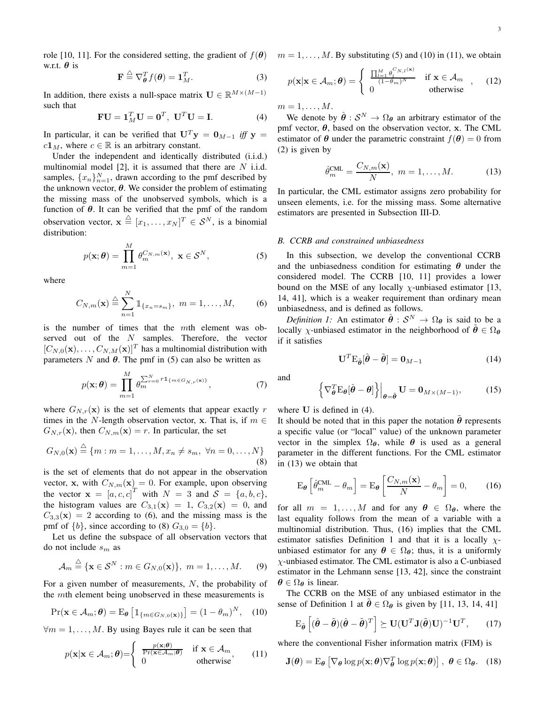w.r.t.  $\theta$  is

$$
\mathbf{F} \stackrel{\triangle}{=} \nabla_{\boldsymbol{\theta}}^T f(\boldsymbol{\theta}) = \mathbf{1}_M^T. \tag{3}
$$

In addition, there exists a null-space matrix  $\mathbf{U} \in \mathbb{R}^{M \times (M-1)}$ such that

$$
\mathbf{F}\mathbf{U} = \mathbf{1}_M^T \mathbf{U} = \mathbf{0}^T, \ \mathbf{U}^T \mathbf{U} = \mathbf{I}.
$$
 (4)

In particular, it can be verified that  $U<sup>T</sup>y = 0<sub>M-1</sub>$  *iff* y =  $c\mathbf{1}_M$ , where  $c \in \mathbb{R}$  is an arbitrary constant.

Under the independent and identically distributed (i.i.d.) multinomial model  $[2]$ , it is assumed that there are N i.i.d. samples,  $\{x_n\}_{n=1}^N$ , drawn according to the pmf described by the unknown vector,  $\theta$ . We consider the problem of estimating the missing mass of the unobserved symbols, which is a function of  $\theta$ . It can be verified that the pmf of the random observation vector,  $\mathbf{x} \triangleq [x_1, \dots, x_N]^T \in \mathcal{S}^N$ , is a binomial distribution:

$$
p(\mathbf{x};\boldsymbol{\theta}) = \prod_{m=1}^{M} \theta_m^{C_{N,m}(\mathbf{x})}, \ \mathbf{x} \in \mathcal{S}^{N},
$$
 (5)

where

$$
C_{N,m}(\mathbf{x}) \stackrel{\triangle}{=} \sum_{n=1}^{N} \mathbb{1}_{\{x_n = s_m\}}, \ m = 1, \dots, M, \tag{6}
$$

is the number of times that the mth element was observed out of the  $N$  samples. Therefore, the vector  $[C_{N,0}(\mathbf{x}), \ldots, C_{N,M}(\mathbf{x})]^T$  has a multinomial distribution with parameters N and  $\theta$ . The pmf in (5) can also be written as

$$
p(\mathbf{x};\boldsymbol{\theta}) = \prod_{m=1}^{M} \theta_m^{\sum_{r=0}^{N} r \mathbb{1}_{\{m \in G_{N,r}(\mathbf{x})\}}},
$$
(7)

where  $G_{N,r}(\mathbf{x})$  is the set of elements that appear exactly r times in the N-length observation vector, x. That is, if  $m \in$  $G_{N,r}(\mathbf{x})$ , then  $C_{N,m}(\mathbf{x}) = r$ . In particular, the set

$$
G_{N,0}(\mathbf{x}) \stackrel{\triangle}{=} \{m : m = 1, ..., M, x_n \neq s_m, \ \forall n = 0, ..., N\}
$$
\n(8)

is the set of elements that do not appear in the observation vector, x, with  $C_{N,m}(\mathbf{x}) = 0$ . For example, upon observing the vector  $\mathbf{x} = [a, c, c]^T$  with  $N = 3$  and  $\mathcal{S} = \{a, b, c\},\$ the histogram values are  $C_{3,1}(\mathbf{x}) = 1$ ,  $C_{3,2}(\mathbf{x}) = 0$ , and  $C_{3,3}(\mathbf{x}) = 2$  according to (6), and the missing mass is the pmf of  $\{b\}$ , since according to (8)  $G_{3,0} = \{b\}$ .

Let us define the subspace of all observation vectors that do not include  $s_m$  as

$$
\mathcal{A}_m \stackrel{\triangle}{=} \{ \mathbf{x} \in \mathcal{S}^N : m \in G_{N,0}(\mathbf{x}) \}, \ m = 1, \dots, M. \tag{9}
$$

For a given number of measurements, N, the probability of the mth element being unobserved in these measurements is

$$
\Pr(\mathbf{x} \in \mathcal{A}_m; \boldsymbol{\theta}) = \mathrm{E}_{\boldsymbol{\theta}} \left[ \mathbb{1}_{\{m \in G_{N,0}(\mathbf{x})\}} \right] = (1 - \theta_m)^N, \quad (10)
$$

 $\forall m = 1, \dots, M$ . By using Bayes rule it can be seen that

$$
p(\mathbf{x}|\mathbf{x} \in \mathcal{A}_m; \boldsymbol{\theta}) = \begin{cases} \frac{p(\mathbf{x}; \boldsymbol{\theta})}{\Pr(\mathbf{x} \in \mathcal{A}_m; \boldsymbol{\theta})} & \text{if } \mathbf{x} \in \mathcal{A}_m \\ 0 & \text{otherwise} \end{cases}
$$
(11)

role [10, 11]. For the considered setting, the gradient of  $f(\theta)$   $m = 1, ..., M$ . By substituting (5) and (10) in (11), we obtain

$$
p(\mathbf{x}|\mathbf{x} \in \mathcal{A}_m; \boldsymbol{\theta}) = \begin{cases} \frac{\prod_{i=1}^M \theta_i^{C_{N,l}(\mathbf{x})}}{(1-\theta_m)^N} & \text{if } \mathbf{x} \in \mathcal{A}_m \\ 0 & \text{otherwise} \end{cases}, \quad (12)
$$

 $m=1,\ldots,M$ .

We denote by  $\hat{\theta}: \mathcal{S}^N \to \Omega_{\theta}$  an arbitrary estimator of the pmf vector,  $\theta$ , based on the observation vector, x. The CML estimator of  $\theta$  under the parametric constraint  $f(\theta) = 0$  from (2) is given by

$$
\hat{\theta}_m^{\text{CML}} = \frac{C_{N,m}(\mathbf{x})}{N}, \ m = 1, \dots, M. \tag{13}
$$

In particular, the CML estimator assigns zero probability for unseen elements, i.e. for the missing mass. Some alternative estimators are presented in Subsection III-D.

#### *B. CCRB and constrained unbiasedness*

In this subsection, we develop the conventional CCRB and the unbiasedness condition for estimating  $\theta$  under the considered model. The CCRB [10, 11] provides a lower bound on the MSE of any locally  $\chi$ -unbiased estimator [13, 14, 41], which is a weaker requirement than ordinary mean unbiasedness, and is defined as follows.

*Definition 1:* An estimator  $\hat{\theta}: \mathcal{S}^N \to \Omega_{\theta}$  is said to be a locally *χ*-unbiased estimator in the neighborhood of  $\tilde{\theta} \in \Omega_{\theta}$ if it satisfies

$$
\mathbf{U}^T \mathbf{E}_{\tilde{\boldsymbol{\theta}}} [\hat{\boldsymbol{\theta}} - \tilde{\boldsymbol{\theta}}] = \mathbf{0}_{M-1} \tag{14}
$$

and

$$
\left\{ \nabla_{\theta}^{T} \mathbf{E}_{\theta} [\hat{\theta} - \theta] \right\} \Big|_{\theta = \tilde{\theta}} \mathbf{U} = \mathbf{0}_{M \times (M-1)}, \quad (15)
$$

where **U** is defined in (4).

It should be noted that in this paper the notation  $\tilde{\theta}$  represents a specific value (or "local" value) of the unknown parameter vector in the simplex  $\Omega_{\theta}$ , while  $\theta$  is used as a general parameter in the different functions. For the CML estimator in (13) we obtain that

$$
\mathbf{E}_{\theta}\left[\hat{\theta}_{m}^{\mathbf{CML}} - \theta_{m}\right] = \mathbf{E}_{\theta}\left[\frac{C_{N,m}(\mathbf{x})}{N} - \theta_{m}\right] = 0, \quad (16)
$$

for all  $m = 1, ..., M$  and for any  $\theta \in \Omega_{\theta}$ , where the last equality follows from the mean of a variable with a multinomial distribution. Thus, (16) implies that the CML estimator satisfies Definition 1 and that it is a locally  $\chi$ unbiased estimator for any  $\theta \in \Omega_{\theta}$ ; thus, it is a uniformly  $\chi$ -unbiased estimator. The CML estimator is also a C-unbiased estimator in the Lehmann sense [13, 42], since the constraint  $\theta \in \Omega_{\theta}$  is linear.

The CCRB on the MSE of any unbiased estimator in the sense of Definition 1 at  $\theta \in \Omega_{\theta}$  is given by [11, 13, 14, 41]

$$
\mathrm{E}_{\tilde{\boldsymbol{\theta}}} \left[ (\hat{\boldsymbol{\theta}} - \tilde{\boldsymbol{\theta}})(\hat{\boldsymbol{\theta}} - \tilde{\boldsymbol{\theta}})^T \right] \succeq \mathbf{U} (\mathbf{U}^T \mathbf{J} (\tilde{\boldsymbol{\theta}}) \mathbf{U})^{-1} \mathbf{U}^T, \qquad (17)
$$

where the conventional Fisher information matrix (FIM) is

$$
\mathbf{J}(\boldsymbol{\theta}) = \mathbf{E}_{\boldsymbol{\theta}} \left[ \nabla_{\boldsymbol{\theta}} \log p(\mathbf{x}; \boldsymbol{\theta}) \nabla_{\boldsymbol{\theta}}^T \log p(\mathbf{x}; \boldsymbol{\theta}) \right], \ \boldsymbol{\theta} \in \Omega_{\boldsymbol{\theta}}.
$$
 (18)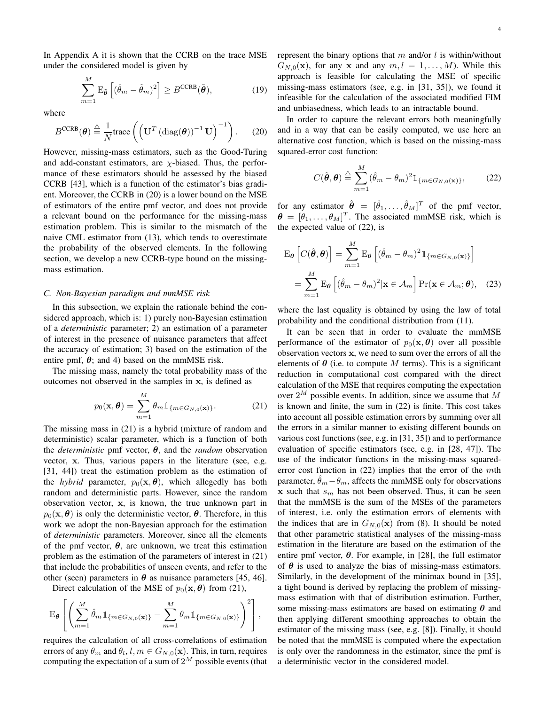In Appendix A it is shown that the CCRB on the trace MSE under the considered model is given by

$$
\sum_{m=1}^{M} \mathcal{E}_{\tilde{\boldsymbol{\theta}}} \left[ (\hat{\theta}_m - \tilde{\theta}_m)^2 \right] \ge B^{\text{CCRB}}(\tilde{\boldsymbol{\theta}}),\tag{19}
$$

where

$$
B^{\text{CCRB}}(\boldsymbol{\theta}) \stackrel{\triangle}{=} \frac{1}{N} \text{trace}\left( \left( \mathbf{U}^T \left( \text{diag}(\boldsymbol{\theta}) \right)^{-1} \mathbf{U} \right)^{-1} \right). \tag{20}
$$

However, missing-mass estimators, such as the Good-Turing and add-constant estimators, are  $\chi$ -biased. Thus, the performance of these estimators should be assessed by the biased CCRB [43], which is a function of the estimator's bias gradient. Moreover, the CCRB in (20) is a lower bound on the MSE of estimators of the entire pmf vector, and does not provide a relevant bound on the performance for the missing-mass estimation problem. This is similar to the mismatch of the naive CML estimator from (13), which tends to overestimate the probability of the observed elements. In the following section, we develop a new CCRB-type bound on the missingmass estimation.

# *C. Non-Bayesian paradigm and mmMSE risk*

In this subsection, we explain the rationale behind the considered approach, which is: 1) purely non-Bayesian estimation of a *deterministic* parameter; 2) an estimation of a parameter of interest in the presence of nuisance parameters that affect the accuracy of estimation; 3) based on the estimation of the entire pmf,  $\theta$ ; and 4) based on the mmMSE risk.

The missing mass, namely the total probability mass of the outcomes not observed in the samples in x, is defined as

$$
p_0(\mathbf{x}, \boldsymbol{\theta}) = \sum_{m=1}^{M} \theta_m \mathbb{1}_{\{m \in G_{N,0}(\mathbf{x})\}}.
$$
 (21)

The missing mass in (21) is a hybrid (mixture of random and deterministic) scalar parameter, which is a function of both the *deterministic* pmf vector, θ, and the *random* observation vector, x. Thus, various papers in the literature (see, e.g. [31, 44]) treat the estimation problem as the estimation of the *hybrid* parameter,  $p_0(x, \theta)$ , which allegedly has both random and deterministic parts. However, since the random observation vector, x, is known, the true unknown part in  $p_0(\mathbf{x}, \boldsymbol{\theta})$  is only the deterministic vector,  $\boldsymbol{\theta}$ . Therefore, in this work we adopt the non-Bayesian approach for the estimation of *deterministic* parameters. Moreover, since all the elements of the pmf vector,  $\theta$ , are unknown, we treat this estimation problem as the estimation of the parameters of interest in (21) that include the probabilities of unseen events, and refer to the other (seen) parameters in  $\theta$  as nuisance parameters [45, 46].

Direct calculation of the MSE of  $p_0(\mathbf{x}, \theta)$  from (21),

$$
\mathrm{E}_{\boldsymbol{\theta}}\left[\left(\sum_{m=1}^M \hat{\theta}_m 1\!\!1_{\{m \in G_{N,0}(\mathbf{x})\}} - \sum_{m=1}^M \theta_m 1\!\!1_{\{m \in G_{N,0}(\mathbf{x})\}}\right)^2\right],
$$

requires the calculation of all cross-correlations of estimation errors of any  $\theta_m$  and  $\theta_l, l, m \in G_{N,0}(\mathbf{x})$ . This, in turn, requires computing the expectation of a sum of  $2^M$  possible events (that represent the binary options that m and/or  $l$  is within/without  $G_{N,0}(\mathbf{x})$ , for any x and any  $m, l = 1, \ldots, M$ ). While this approach is feasible for calculating the MSE of specific missing-mass estimators (see, e.g. in [31, 35]), we found it infeasible for the calculation of the associated modified FIM and unbiasedness, which leads to an intractable bound.

In order to capture the relevant errors both meaningfully and in a way that can be easily computed, we use here an alternative cost function, which is based on the missing-mass squared-error cost function:

$$
C(\hat{\boldsymbol{\theta}}, \boldsymbol{\theta}) \stackrel{\triangle}{=} \sum_{m=1}^{M} (\hat{\theta}_m - \theta_m)^2 \mathbb{1}_{\{m \in G_{N,0}(\mathbf{x})\}},
$$
 (22)

for any estimator  $\hat{\boldsymbol{\theta}} = [\hat{\theta}_1, \dots, \hat{\theta}_M]^T$  of the pmf vector,  $\boldsymbol{\theta} = [\theta_1, \dots, \theta_M]^T$ . The associated mmMSE risk, which is the expected value of (22), is

$$
\mathbf{E}_{\theta}\left[C(\hat{\theta},\theta)\right] = \sum_{m=1}^{M} \mathbf{E}_{\theta}\left[(\hat{\theta}_{m} - \theta_{m})^{2} \mathbb{1}_{\{m \in G_{N,0}(\mathbf{x})\}}\right]
$$

$$
= \sum_{m=1}^{M} \mathbf{E}_{\theta}\left[(\hat{\theta}_{m} - \theta_{m})^{2} | \mathbf{x} \in \mathcal{A}_{m}\right] \mathbf{Pr}(\mathbf{x} \in \mathcal{A}_{m}; \theta), \quad (23)
$$

where the last equality is obtained by using the law of total probability and the conditional distribution from (11).

It can be seen that in order to evaluate the mmMSE performance of the estimator of  $p_0(\mathbf{x}, \theta)$  over all possible observation vectors x, we need to sum over the errors of all the elements of  $\theta$  (i.e. to compute M terms). This is a significant reduction in computational cost compared with the direct calculation of the MSE that requires computing the expectation over  $2^M$  possible events. In addition, since we assume that M is known and finite, the sum in (22) is finite. This cost takes into account all possible estimation errors by summing over all the errors in a similar manner to existing different bounds on various cost functions (see, e.g. in [31, 35]) and to performance evaluation of specific estimators (see, e.g. in [28, 47]). The use of the indicator functions in the missing-mass squarederror cost function in  $(22)$  implies that the error of the mth parameter,  $\theta_m - \theta_m$ , affects the mmMSE only for observations x such that  $s_m$  has not been observed. Thus, it can be seen that the mmMSE is the sum of the MSEs of the parameters of interest, i.e. only the estimation errors of elements with the indices that are in  $G_{N,0}(\mathbf{x})$  from (8). It should be noted that other parametric statistical analyses of the missing-mass estimation in the literature are based on the estimation of the entire pmf vector,  $\theta$ . For example, in [28], the full estimator of  $\theta$  is used to analyze the bias of missing-mass estimators. Similarly, in the development of the minimax bound in [35], a tight bound is derived by replacing the problem of missingmass estimation with that of distribution estimation. Further, some missing-mass estimators are based on estimating  $\theta$  and then applying different smoothing approaches to obtain the estimator of the missing mass (see, e.g. [8]). Finally, it should be noted that the mmMSE is computed where the expectation is only over the randomness in the estimator, since the pmf is a deterministic vector in the considered model.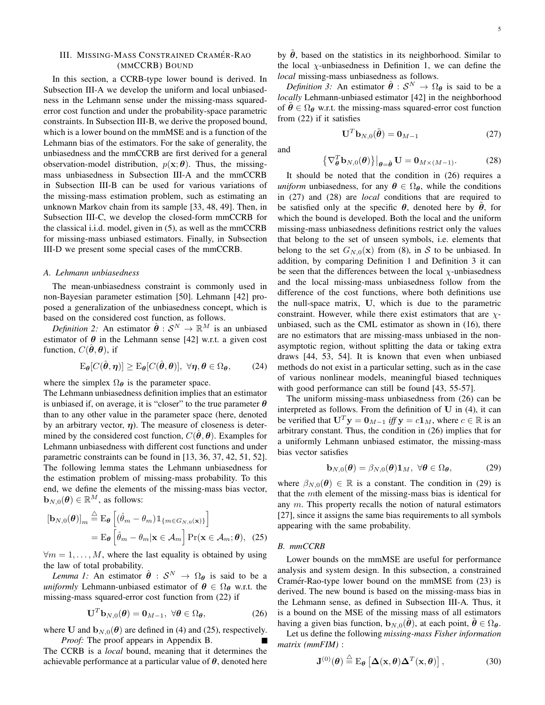# III. MISSING-MASS CONSTRAINED CRAMÉR-RAO (MMCCRB) BOUND

In this section, a CCRB-type lower bound is derived. In Subsection III-A we develop the uniform and local unbiasedness in the Lehmann sense under the missing-mass squarederror cost function and under the probability-space parametric constraints. In Subsection III-B, we derive the proposed bound, which is a lower bound on the mmMSE and is a function of the Lehmann bias of the estimators. For the sake of generality, the unbiasedness and the mmCCRB are first derived for a general observation-model distribution,  $p(\mathbf{x}; \boldsymbol{\theta})$ . Thus, the missingmass unbiasedness in Subsection III-A and the mmCCRB in Subsection III-B can be used for various variations of the missing-mass estimation problem, such as estimating an unknown Markov chain from its sample [33, 48, 49]. Then, in Subsection III-C, we develop the closed-form mmCCRB for the classical i.i.d. model, given in (5), as well as the mmCCRB for missing-mass unbiased estimators. Finally, in Subsection III-D we present some special cases of the mmCCRB.

#### *A. Lehmann unbiasedness*

The mean-unbiasedness constraint is commonly used in non-Bayesian parameter estimation [50]. Lehmann [42] proposed a generalization of the unbiasedness concept, which is based on the considered cost function, as follows.

*Definition 2:* An estimator  $\hat{\theta}: \mathcal{S}^N \to \mathbb{R}^M$  is an unbiased estimator of  $\theta$  in the Lehmann sense [42] w.r.t. a given cost function,  $C(\theta, \theta)$ , if

$$
\mathcal{E}_{\boldsymbol{\theta}}[C(\hat{\boldsymbol{\theta}}, \boldsymbol{\eta})] \ge \mathcal{E}_{\boldsymbol{\theta}}[C(\hat{\boldsymbol{\theta}}, \boldsymbol{\theta})], \ \forall \boldsymbol{\eta}, \boldsymbol{\theta} \in \Omega_{\boldsymbol{\theta}}, \qquad (24)
$$

where the simplex  $\Omega_{\theta}$  is the parameter space.

The Lehmann unbiasedness definition implies that an estimator is unbiased if, on average, it is "closer" to the true parameter  $\theta$ than to any other value in the parameter space (here, denoted by an arbitrary vector,  $\eta$ ). The measure of closeness is determined by the considered cost function,  $C(\hat{\theta}, \theta)$ . Examples for Lehmann unbiasedness with different cost functions and under parametric constraints can be found in [13, 36, 37, 42, 51, 52]. The following lemma states the Lehmann unbiasedness for the estimation problem of missing-mass probability. To this end, we define the elements of the missing-mass bias vector,  $\mathbf{b}_{N,0}(\boldsymbol{\theta}) \in \mathbb{R}^M$ , as follows:

$$
\begin{aligned} \left[\mathbf{b}_{N,0}(\boldsymbol{\theta})\right]_m &\stackrel{\triangle}{=} \mathbf{E}_{\boldsymbol{\theta}} \left[ (\hat{\theta}_m - \theta_m) \mathbbm{1}_{\{m \in G_{N,0}(\mathbf{x})\}} \right] \\ &= \mathbf{E}_{\boldsymbol{\theta}} \left[ \hat{\theta}_m - \theta_m | \mathbf{x} \in \mathcal{A}_m \right] \Pr(\mathbf{x} \in \mathcal{A}_m; \boldsymbol{\theta}), \tag{25} \end{aligned}
$$

 $\forall m = 1, \ldots, M$ , where the last equality is obtained by using the law of total probability.

*Lemma 1:* An estimator  $\hat{\theta}$  :  $S^N \rightarrow \Omega_{\theta}$  is said to be a *uniformly* Lehmann-unbiased estimator of  $\theta \in \Omega_{\theta}$  w.r.t. the missing-mass squared-error cost function from (22) if

$$
\mathbf{U}^T \mathbf{b}_{N,0}(\boldsymbol{\theta}) = \mathbf{0}_{M-1}, \ \forall \boldsymbol{\theta} \in \Omega_{\boldsymbol{\theta}}, \tag{26}
$$

where U and  $\mathbf{b}_{N,0}(\theta)$  are defined in (4) and (25), respectively. *Proof:* The proof appears in Appendix B.

The CCRB is a *local* bound, meaning that it determines the achievable performance at a particular value of  $\theta$ , denoted here

by  $\tilde{\theta}$ , based on the statistics in its neighborhood. Similar to the local  $\chi$ -unbiasedness in Definition 1, we can define the *local* missing-mass unbiasedness as follows.

*Definition 3:* An estimator  $\hat{\theta}: \mathcal{S}^N \to \Omega_{\theta}$  is said to be a *locally* Lehmann-unbiased estimator [42] in the neighborhood of  $\theta \in \Omega_{\theta}$  w.r.t. the missing-mass squared-error cost function from (22) if it satisfies

$$
\mathbf{U}^T \mathbf{b}_{N,0}(\tilde{\boldsymbol{\theta}}) = \mathbf{0}_{M-1} \tag{27}
$$

and

$$
\left\{\nabla_{\boldsymbol{\theta}}^T \mathbf{b}_{N,0}(\boldsymbol{\theta})\right\}\big|_{\boldsymbol{\theta}=\tilde{\boldsymbol{\theta}}} \mathbf{U} = \mathbf{0}_{M \times (M-1)}.
$$
 (28)

It should be noted that the condition in (26) requires a *uniform* unbiasedness, for any  $\theta \in \Omega_{\theta}$ , while the conditions in (27) and (28) are *local* conditions that are required to be satisfied only at the specific  $\theta$ , denoted here by  $\hat{\theta}$ , for which the bound is developed. Both the local and the uniform missing-mass unbiasedness definitions restrict only the values that belong to the set of unseen symbols, i.e. elements that belong to the set  $G_{N,0}(\mathbf{x})$  from (8), in S to be unbiased. In addition, by comparing Definition 1 and Definition 3 it can be seen that the differences between the local  $\chi$ -unbiasedness and the local missing-mass unbiasedness follow from the difference of the cost functions, where both definitions use the null-space matrix, U, which is due to the parametric constraint. However, while there exist estimators that are  $\chi$ unbiased, such as the CML estimator as shown in (16), there are no estimators that are missing-mass unbiased in the nonasymptotic region, without splitting the data or taking extra draws [44, 53, 54]. It is known that even when unbiased methods do not exist in a particular setting, such as in the case of various nonlinear models, meaningful biased techniques with good performance can still be found [43, 55-57].

The uniform missing-mass unbiasedness from (26) can be interpreted as follows. From the definition of  $U$  in (4), it can be verified that  $U^T y = 0_{M-1}$  *iff*  $y = c1_M$ , where  $c \in \mathbb{R}$  is an arbitrary constant. Thus, the condition in (26) implies that for a uniformly Lehmann unbiased estimator, the missing-mass bias vector satisfies

$$
\mathbf{b}_{N,0}(\boldsymbol{\theta}) = \beta_{N,0}(\boldsymbol{\theta})\mathbf{1}_M, \ \forall \boldsymbol{\theta} \in \Omega_{\boldsymbol{\theta}}, \tag{29}
$$

where  $\beta_{N,0}(\theta) \in \mathbb{R}$  is a constant. The condition in (29) is that the mth element of the missing-mass bias is identical for any  $m$ . This property recalls the notion of natural estimators [27], since it assigns the same bias requirements to all symbols appearing with the same probability.

#### *B. mmCCRB*

Lower bounds on the mmMSE are useful for performance analysis and system design. In this subsection, a constrained Cramér-Rao-type lower bound on the mmMSE from  $(23)$  is derived. The new bound is based on the missing-mass bias in the Lehmann sense, as defined in Subsection III-A. Thus, it is a bound on the MSE of the missing mass of all estimators having a given bias function,  $\mathbf{b}_{N,0}(\theta)$ , at each point,  $\theta \in \Omega_{\theta}$ .

Let us define the following *missing-mass Fisher information matrix (mmFIM)* :

$$
\mathbf{J}^{(0)}(\boldsymbol{\theta}) \stackrel{\triangle}{=} \mathrm{E}_{\boldsymbol{\theta}} \left[ \Delta(\mathbf{x}, \boldsymbol{\theta}) \Delta^T(\mathbf{x}, \boldsymbol{\theta}) \right], \tag{30}
$$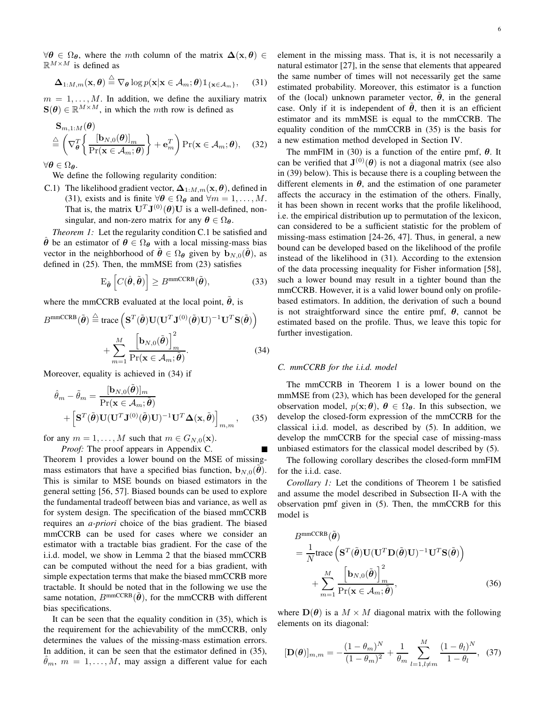$\forall \theta \in \Omega_{\theta}$ , where the mth column of the matrix  $\Delta(\mathbf{x}, \theta) \in$  $\mathbb{R}^{M \times M}$  is defined as

$$
\Delta_{1:M,m}(\mathbf{x},\boldsymbol{\theta}) \stackrel{\triangle}{=} \nabla_{\boldsymbol{\theta}} \log p(\mathbf{x}|\mathbf{x} \in \mathcal{A}_m; \boldsymbol{\theta}) \mathbbm{1}_{\{\mathbf{x} \in \mathcal{A}_m\}},\qquad(31)
$$

 $m = 1, \ldots, M$ . In addition, we define the auxiliary matrix  $\mathbf{S}(\boldsymbol{\theta}) \in \mathbb{R}^{M \times M}$ , in which the mth row is defined as

$$
\mathbf{S}_{m,1:M}(\boldsymbol{\theta})\n\triangleq \left(\nabla_{\boldsymbol{\theta}}^{T}\left\{\frac{\left[\mathbf{b}_{N,0}(\boldsymbol{\theta})\right]_{m}}{\Pr(\mathbf{x}\in\mathcal{A}_{m};\boldsymbol{\theta})}\right\}+\mathbf{e}_{m}^{T}\right)\Pr(\mathbf{x}\in\mathcal{A}_{m};\boldsymbol{\theta}),\n\quad (32)
$$

 $\forall \theta \in \Omega_{\theta}$ .

We define the following regularity condition:

C.1) The likelihood gradient vector,  $\Delta_{1:M,m}(\mathbf{x}, \theta)$ , defined in (31), exists and is finite  $\forall \theta \in \Omega_{\theta}$  and  $\forall m = 1, ..., M$ . That is, the matrix  $U^T J^{(0)}(\theta) U$  is a well-defined, nonsingular, and non-zero matrix for any  $\theta \in \Omega_{\theta}$ .

*Theorem 1:* Let the regularity condition C.1 be satisfied and  $\hat{\theta}$  be an estimator of  $\theta \in \Omega_{\theta}$  with a local missing-mass bias vector in the neighborhood of  $\theta \in \Omega_{\theta}$  given by  $\mathbf{b}_{N,0}(\theta)$ , as defined in (25). Then, the mmMSE from (23) satisfies

$$
\mathcal{E}_{\tilde{\boldsymbol{\theta}}} \left[ C(\hat{\boldsymbol{\theta}}, \tilde{\boldsymbol{\theta}}) \right] \ge B^{\text{mmCCRB}}(\tilde{\boldsymbol{\theta}}), \tag{33}
$$

where the mmCCRB evaluated at the local point,  $\theta$ , is

$$
B^{\text{mmCCRB}}(\tilde{\boldsymbol{\theta}}) \stackrel{\triangle}{=} \text{trace}\left(\mathbf{S}^T(\tilde{\boldsymbol{\theta}})\mathbf{U}(\mathbf{U}^T\mathbf{J}^{(0)}(\tilde{\boldsymbol{\theta}})\mathbf{U})^{-1}\mathbf{U}^T\mathbf{S}(\tilde{\boldsymbol{\theta}})\right) + \sum_{m=1}^M \frac{\left[\mathbf{b}_{N,0}(\tilde{\boldsymbol{\theta}})\right]_m^2}{\Pr(\mathbf{x} \in \mathcal{A}_m; \tilde{\boldsymbol{\theta}})}.
$$
(34)

Moreover, equality is achieved in (34) if

$$
\hat{\theta}_m - \tilde{\theta}_m = \frac{[\mathbf{b}_{N,0}(\tilde{\boldsymbol{\theta}})]_m}{\Pr(\mathbf{x} \in \mathcal{A}_m; \tilde{\boldsymbol{\theta}})} + \left[\mathbf{S}^T(\tilde{\boldsymbol{\theta}})\mathbf{U}(\mathbf{U}^T\mathbf{J}^{(0)}(\tilde{\boldsymbol{\theta}})\mathbf{U})^{-1}\mathbf{U}^T\mathbf{\Delta}(\mathbf{x}, \tilde{\boldsymbol{\theta}})\right]_{m,m},
$$
(35)

for any  $m = 1, \ldots, M$  such that  $m \in G_{N,0}(\mathbf{x})$ .

*Proof:* The proof appears in Appendix C. Theorem 1 provides a lower bound on the MSE of missingmass estimators that have a specified bias function,  $\mathbf{b}_{N,0}(\hat{\boldsymbol{\theta}})$ . This is similar to MSE bounds on biased estimators in the general setting [56, 57]. Biased bounds can be used to explore the fundamental tradeoff between bias and variance, as well as for system design. The specification of the biased mmCCRB requires an *a-priori* choice of the bias gradient. The biased mmCCRB can be used for cases where we consider an estimator with a tractable bias gradient. For the case of the i.i.d. model, we show in Lemma 2 that the biased mmCCRB can be computed without the need for a bias gradient, with simple expectation terms that make the biased mmCCRB more tractable. It should be noted that in the following we use the same notation,  $B^{mmCCRB}(\tilde{\theta})$ , for the mmCCRB with different bias specifications.

It can be seen that the equality condition in (35), which is the requirement for the achievability of the mmCCRB, only determines the values of the missing-mass estimation errors. In addition, it can be seen that the estimator defined in (35),  $\hat{\theta}_m$ ,  $m = 1, \ldots, M$ , may assign a different value for each element in the missing mass. That is, it is not necessarily a natural estimator [27], in the sense that elements that appeared the same number of times will not necessarily get the same estimated probability. Moreover, this estimator is a function of the (local) unknown parameter vector,  $\theta$ , in the general case. Only if it is independent of  $\hat{\theta}$ , then it is an efficient estimator and its mmMSE is equal to the mmCCRB. The equality condition of the mmCCRB in (35) is the basis for a new estimation method developed in Section IV.

The mmFIM in (30) is a function of the entire pmf,  $\theta$ . It can be verified that  $J^{(0)}(\theta)$  is not a diagonal matrix (see also in (39) below). This is because there is a coupling between the different elements in  $\theta$ , and the estimation of one parameter affects the accuracy in the estimation of the others. Finally, it has been shown in recent works that the profile likelihood, i.e. the empirical distribution up to permutation of the lexicon, can considered to be a sufficient statistic for the problem of missing-mass estimation [24-26, 47]. Thus, in general, a new bound can be developed based on the likelihood of the profile instead of the likelihood in (31). According to the extension of the data processing inequality for Fisher information [58], such a lower bound may result in a tighter bound than the mmCCRB. However, it is a valid lower bound only on profilebased estimators. In addition, the derivation of such a bound is not straightforward since the entire pmf,  $\theta$ , cannot be estimated based on the profile. Thus, we leave this topic for further investigation.

#### *C. mmCCRB for the i.i.d. model*

The mmCCRB in Theorem 1 is a lower bound on the mmMSE from (23), which has been developed for the general observation model,  $p(\mathbf{x}; \theta)$ ,  $\theta \in \Omega_{\theta}$ . In this subsection, we develop the closed-form expression of the mmCCRB for the classical i.i.d. model, as described by (5). In addition, we develop the mmCCRB for the special case of missing-mass unbiased estimators for the classical model described by (5).

The following corollary describes the closed-form mmFIM for the i.i.d. case.

*Corollary 1:* Let the conditions of Theorem 1 be satisfied and assume the model described in Subsection II-A with the observation pmf given in (5). Then, the mmCCRB for this model is

$$
B^{\text{mmCCRB}}(\tilde{\boldsymbol{\theta}})
$$
  
=  $\frac{1}{N} \text{trace} \left( \mathbf{S}^T(\tilde{\boldsymbol{\theta}}) \mathbf{U} (\mathbf{U}^T \mathbf{D}(\tilde{\boldsymbol{\theta}}) \mathbf{U})^{-1} \mathbf{U}^T \mathbf{S}(\tilde{\boldsymbol{\theta}}) \right)$   
+  $\sum_{m=1}^M \frac{\left[ \mathbf{b}_{N,0}(\tilde{\boldsymbol{\theta}}) \right]_m^2}{\Pr(\mathbf{x} \in \mathcal{A}_m; \tilde{\boldsymbol{\theta}})},$  (36)

where  $\mathbf{D}(\boldsymbol{\theta})$  is a  $M \times M$  diagonal matrix with the following elements on its diagonal:

$$
[\mathbf{D}(\boldsymbol{\theta})]_{m,m} = -\frac{(1-\theta_m)^N}{(1-\theta_m)^2} + \frac{1}{\theta_m} \sum_{l=1, l \neq m}^{M} \frac{(1-\theta_l)^N}{1-\theta_l}, \quad (37)
$$

M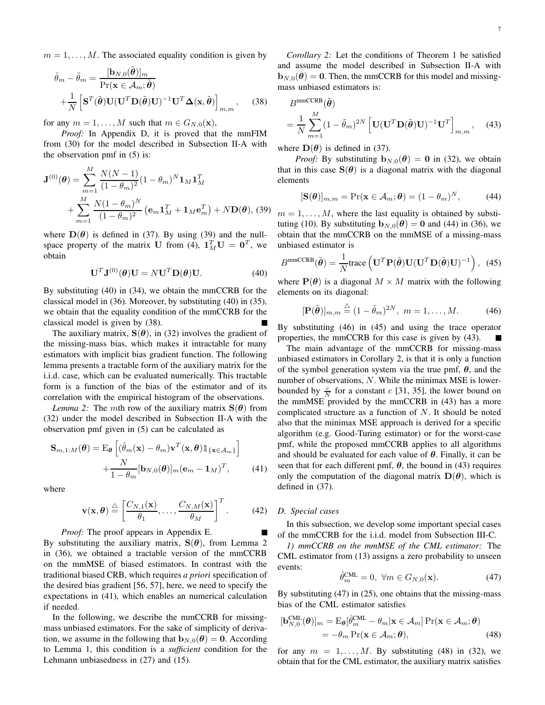$m = 1, \ldots, M$ . The associated equality condition is given by

$$
\hat{\theta}_m - \tilde{\theta}_m = \frac{[\mathbf{b}_{N,0}(\tilde{\boldsymbol{\theta}})]_m}{\Pr(\mathbf{x} \in \mathcal{A}_m; \tilde{\boldsymbol{\theta}})} \n+ \frac{1}{N} \left[ \mathbf{S}^T(\tilde{\boldsymbol{\theta}}) \mathbf{U} (\mathbf{U}^T \mathbf{D}(\tilde{\boldsymbol{\theta}}) \mathbf{U})^{-1} \mathbf{U}^T \mathbf{\Delta}(\mathbf{x}, \tilde{\boldsymbol{\theta}}) \right]_{m,m}, \quad (38)
$$

for any  $m = 1, \ldots, M$  such that  $m \in G_{N,0}(\mathbf{x}),$ 

*Proof:* In Appendix D, it is proved that the mmFIM from (30) for the model described in Subsection II-A with the observation pmf in (5) is:

$$
\mathbf{J}^{(0)}(\boldsymbol{\theta}) = \sum_{m=1}^{M} \frac{N(N-1)}{(1-\theta_m)^2} (1-\theta_m)^N \mathbf{1}_M \mathbf{1}_M^T + \sum_{m=1}^{M} \frac{N(1-\theta_m)^N}{(1-\theta_m)^2} (\mathbf{e}_m \mathbf{1}_M^T + \mathbf{1}_M \mathbf{e}_m^T) + N \mathbf{D}(\boldsymbol{\theta}), \text{ (39)}
$$

where  $\mathbf{D}(\theta)$  is defined in (37). By using (39) and the nullspace property of the matrix U from (4),  $\mathbf{1}_M^T \mathbf{U} = \mathbf{0}^T$ , we obtain

$$
\mathbf{U}^T \mathbf{J}^{(0)}(\boldsymbol{\theta}) \mathbf{U} = N \mathbf{U}^T \mathbf{D}(\boldsymbol{\theta}) \mathbf{U}.
$$
 (40)

By substituting (40) in (34), we obtain the mmCCRB for the classical model in (36). Moreover, by substituting (40) in (35), we obtain that the equality condition of the mmCCRB for the classical model is given by (38).

The auxiliary matrix,  $S(\theta)$ , in (32) involves the gradient of the missing-mass bias, which makes it intractable for many estimators with implicit bias gradient function. The following lemma presents a tractable form of the auxiliary matrix for the i.i.d. case, which can be evaluated numerically. This tractable form is a function of the bias of the estimator and of its correlation with the empirical histogram of the observations.

*Lemma 2:* The mth row of the auxiliary matrix  $S(\theta)$  from (32) under the model described in Subsection II-A with the observation pmf given in (5) can be calculated as

$$
\mathbf{S}_{m,1:M}(\boldsymbol{\theta}) = \mathbf{E}_{\boldsymbol{\theta}} \left[ (\hat{\theta}_{m}(\mathbf{x}) - \theta_{m}) \mathbf{v}^{T}(\mathbf{x}, \boldsymbol{\theta}) \mathbb{1}_{\{\mathbf{x} \in \mathcal{A}_{m}\}} \right] + \frac{N}{1 - \theta_{m}} [\mathbf{b}_{N,0}(\boldsymbol{\theta})]_{m} (\mathbf{e}_{m} - \mathbf{1}_{M})^{T},
$$
(41)

where

$$
\mathbf{v}(\mathbf{x}, \boldsymbol{\theta}) \stackrel{\triangle}{=} \left[ \frac{C_{N,1}(\mathbf{x})}{\theta_1}, \dots, \frac{C_{N,M}(\mathbf{x})}{\theta_M} \right]^T.
$$
 (42)

*Proof:* The proof appears in Appendix E.

By substituting the auxiliary matrix,  $S(\theta)$ , from Lemma 2 in (36), we obtained a tractable version of the mmCCRB on the mmMSE of biased estimators. In contrast with the traditional biased CRB, which requires *a priori* specification of the desired bias gradient [56, 57], here, we need to specify the expectations in (41), which enables an numerical calculation if needed.

In the following, we describe the mmCCRB for missingmass unbiased estimators. For the sake of simplicity of derivation, we assume in the following that  $\mathbf{b}_{N,0}(\theta) = 0$ . According to Lemma 1, this condition is a *sufficient* condition for the Lehmann unbiasedness in (27) and (15).

*Corollary 2:* Let the conditions of Theorem 1 be satisfied and assume the model described in Subsection II-A with  $$ mass unbiased estimators is:

$$
B^{\text{mmCCRB}}(\tilde{\boldsymbol{\theta}})
$$
  
=  $\frac{1}{N} \sum_{m=1}^{M} (1 - \tilde{\theta}_m)^{2N} \left[ \mathbf{U} (\mathbf{U}^T \mathbf{D}(\tilde{\boldsymbol{\theta}}) \mathbf{U})^{-1} \mathbf{U}^T \right]_{m,m}$ , (43)

where  $\mathbf{D}(\boldsymbol{\theta})$  is defined in (37).

*Proof:* By substituting  $\mathbf{b}_{N,0}(\theta) = \mathbf{0}$  in (32), we obtain that in this case  $S(\theta)$  is a diagonal matrix with the diagonal elements

$$
[\mathbf{S}(\boldsymbol{\theta})]_{m,m} = \Pr(\mathbf{x} \in \mathcal{A}_m; \boldsymbol{\theta}) = (1 - \theta_m)^N, \tag{44}
$$

 $m = 1, \ldots, M$ , where the last equality is obtained by substituting (10). By substituting  $\mathbf{b}_{N,0}(\theta) = \mathbf{0}$  and (44) in (36), we obtain that the mmCCRB on the mmMSE of a missing-mass unbiased estimator is

$$
B^{\text{mmCCRB}}(\tilde{\boldsymbol{\theta}}) = \frac{1}{N} \text{trace}\left(\mathbf{U}^T \mathbf{P}(\tilde{\boldsymbol{\theta}}) \mathbf{U} (\mathbf{U}^T \mathbf{D}(\tilde{\boldsymbol{\theta}}) \mathbf{U})^{-1}\right), (45)
$$

where  $P(\theta)$  is a diagonal  $M \times M$  matrix with the following elements on its diagonal:

$$
[\mathbf{P}(\tilde{\boldsymbol{\theta}})]_{m,m} \stackrel{\triangle}{=} (1 - \tilde{\theta}_m)^{2N}, \ m = 1, \dots, M. \tag{46}
$$

By substituting (46) in (45) and using the trace operator properties, the mmCCRB for this case is given by (43).

The main advantage of the mmCCRB for missing-mass unbiased estimators in Corollary 2, is that it is only a function of the symbol generation system via the true pmf,  $\theta$ , and the number of observations, N. While the minimax MSE is lowerbounded by  $\frac{c}{N}$  for a constant c [31, 35], the lower bound on the mmMSE provided by the mmCCRB in (43) has a more complicated structure as a function of  $N$ . It should be noted also that the minimax MSE approach is derived for a specific algorithm (e.g. Good-Turing estimator) or for the worst-case pmf, while the proposed mmCCRB applies to all algorithms and should be evaluated for each value of  $\theta$ . Finally, it can be seen that for each different pmf,  $\theta$ , the bound in (43) requires only the computation of the diagonal matrix  $\mathbf{D}(\boldsymbol{\theta})$ , which is defined in (37).

#### *D. Special cases*

In this subsection, we develop some important special cases of the mmCCRB for the i.i.d. model from Subsection III-C.

*1) mmCCRB on the mmMSE of the CML estimator:* The CML estimator from (13) assigns a zero probability to unseen events:

$$
\hat{\theta}_m^{\text{CML}} = 0, \ \forall m \in G_{N,0}(\mathbf{x}).\tag{47}
$$

By substituting (47) in (25), one obtains that the missing-mass bias of the CML estimator satisfies

$$
[\mathbf{b}_{N,0}^{\text{CML}}(\boldsymbol{\theta})]_m = \mathbf{E}_{\boldsymbol{\theta}}[\hat{\theta}_m^{\text{CML}} - \theta_m | \mathbf{x} \in \mathcal{A}_m] \Pr(\mathbf{x} \in \mathcal{A}_m; \boldsymbol{\theta})
$$
  
=  $-\theta_m \Pr(\mathbf{x} \in \mathcal{A}_m; \boldsymbol{\theta}),$  (48)

for any  $m = 1, \ldots, M$ . By substituting (48) in (32), we obtain that for the CML estimator, the auxiliary matrix satisfies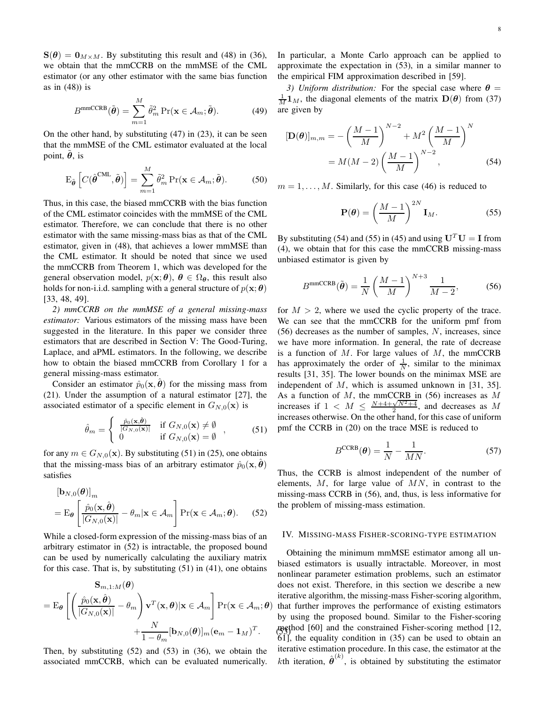$S(\theta) = 0_{M \times M}$ . By substituting this result and (48) in (36), we obtain that the mmCCRB on the mmMSE of the CML estimator (or any other estimator with the same bias function as in (48)) is

$$
B^{\text{mmCCRB}}(\tilde{\boldsymbol{\theta}}) = \sum_{m=1}^{M} \tilde{\theta}_m^2 \Pr(\mathbf{x} \in \mathcal{A}_m; \tilde{\boldsymbol{\theta}}).
$$
 (49)

On the other hand, by substituting (47) in (23), it can be seen that the mmMSE of the CML estimator evaluated at the local point,  $\ddot{\theta}$ , is

$$
\mathcal{E}_{\tilde{\boldsymbol{\theta}}}\left[C(\hat{\boldsymbol{\theta}}^{\text{CML}},\tilde{\boldsymbol{\theta}})\right]=\sum_{m=1}^{M}\tilde{\theta}_{m}^{2}\Pr(\mathbf{x}\in\mathcal{A}_{m};\tilde{\boldsymbol{\theta}}). \tag{50}
$$

Thus, in this case, the biased mmCCRB with the bias function of the CML estimator coincides with the mmMSE of the CML estimator. Therefore, we can conclude that there is no other estimator with the same missing-mass bias as that of the CML estimator, given in (48), that achieves a lower mmMSE than the CML estimator. It should be noted that since we used the mmCCRB from Theorem 1, which was developed for the general observation model,  $p(\mathbf{x}; \theta)$ ,  $\theta \in \Omega_{\theta}$ , this result also holds for non-i.i.d. sampling with a general structure of  $p(\mathbf{x}; \boldsymbol{\theta})$ [33, 48, 49].

*2) mmCCRB on the mmMSE of a general missing-mass estimator:* Various estimators of the missing mass have been suggested in the literature. In this paper we consider three estimators that are described in Section V: The Good-Turing, Laplace, and aPML estimators. In the following, we describe how to obtain the biased mmCCRB from Corollary 1 for a general missing-mass estimator.

Consider an estimator  $\hat{p}_0(\mathbf{x}, \boldsymbol{\theta})$  for the missing mass from (21). Under the assumption of a natural estimator [27], the associated estimator of a specific element in  $G_{N,0}(\mathbf{x})$  is

$$
\hat{\theta}_m = \begin{cases}\n\frac{\hat{p}_0(\mathbf{x}, \hat{\boldsymbol{\theta}})}{|G_{N,0}(\mathbf{x})|} & \text{if } G_{N,0}(\mathbf{x}) \neq \emptyset \\
0 & \text{if } G_{N,0}(\mathbf{x}) = \emptyset\n\end{cases},
$$
\n(51)

for any  $m \in G_{N,0}(\mathbf{x})$ . By substituting (51) in (25), one obtains that the missing-mass bias of an arbitrary estimator  $\hat{p}_0(\mathbf{x}, \hat{\boldsymbol{\theta}})$ satisfies

$$
\begin{aligned} \left[\mathbf{b}_{N,0}(\boldsymbol{\theta})\right]_m\\ &= \mathbf{E}_{\boldsymbol{\theta}} \left[ \frac{\hat{p}_0(\mathbf{x}, \hat{\boldsymbol{\theta}})}{|G_{N,0}(\mathbf{x})|} - \theta_m | \mathbf{x} \in \mathcal{A}_m \right] \Pr(\mathbf{x} \in \mathcal{A}_m; \boldsymbol{\theta}). \end{aligned} \tag{52}
$$

While a closed-form expression of the missing-mass bias of an arbitrary estimator in (52) is intractable, the proposed bound can be used by numerically calculating the auxiliary matrix for this case. That is, by substituting  $(51)$  in  $(41)$ , one obtains

$$
\mathbf{S}_{m,1:M}(\boldsymbol{\theta})
$$
\n
$$
= \mathrm{E}_{\boldsymbol{\theta}} \left[ \left( \frac{\hat{p}_0(\mathbf{x}, \hat{\boldsymbol{\theta}})}{|G_{N,0}(\mathbf{x})|} - \theta_m \right) \mathbf{v}^T(\mathbf{x}, \boldsymbol{\theta}) | \mathbf{x} \in \mathcal{A}_m \right] \mathrm{Pr}(\mathbf{x} \in \mathcal{A}_m; \boldsymbol{\theta}) + \frac{N}{1 - \theta_m} [\mathbf{b}_{N,0}(\boldsymbol{\theta})]_m (\mathbf{e}_m - \mathbf{1}_M)^T.
$$

Then, by substituting (52) and (53) in (36), we obtain the associated mmCCRB, which can be evaluated numerically. In particular, a Monte Carlo approach can be applied to approximate the expectation in (53), in a similar manner to the empirical FIM approximation described in [59].

*3) Uniform distribution:* For the special case where  $\theta$  =  $\frac{1}{M}$ **1**<sub>M</sub>, the diagonal elements of the matrix **D**( $\theta$ ) from (37) are given by

$$
[\mathbf{D}(\boldsymbol{\theta})]_{m,m} = -\left(\frac{M-1}{M}\right)^{N-2} + M^2 \left(\frac{M-1}{M}\right)^N
$$
  
=  $M(M-2) \left(\frac{M-1}{M}\right)^{N-2}$ , (54)

 $m = 1, \ldots, M$ . Similarly, for this case (46) is reduced to

$$
\mathbf{P}(\boldsymbol{\theta}) = \left(\frac{M-1}{M}\right)^{2N} \mathbf{I}_M.
$$
 (55)

By substituting (54) and (55) in (45) and using  $U<sup>T</sup>U = I$  from (4), we obtain that for this case the mmCCRB missing-mass unbiased estimator is given by

$$
B^{\text{mmCCRB}}(\tilde{\boldsymbol{\theta}}) = \frac{1}{N} \left( \frac{M-1}{M} \right)^{N+3} \frac{1}{M-2},\tag{56}
$$

for  $M > 2$ , where we used the cyclic property of the trace. We can see that the mmCCRB for the uniform pmf from (56) decreases as the number of samples, N, increases, since we have more information. In general, the rate of decrease is a function of  $M$ . For large values of  $M$ , the mmCCRB has approximately the order of  $\frac{1}{N}$ , similar to the minimax results [31, 35]. The lower bounds on the minimax MSE are independent of M, which is assumed unknown in [31, 35]. As a function of  $M$ , the mmCCRB in (56) increases as  $M$ increases if  $1 < M \leq \frac{N+4+\sqrt{N^2+4}}{2}$ , and decreases as M increases otherwise. On the other hand, for this case of uniform pmf the CCRB in (20) on the trace MSE is reduced to

$$
B^{\text{CCRB}}(\boldsymbol{\theta}) = \frac{1}{N} - \frac{1}{MN}.
$$
 (57)

Thus, the CCRB is almost independent of the number of elements,  $M$ , for large value of  $MN$ , in contrast to the missing-mass CCRB in (56), and, thus, is less informative for the problem of missing-mass estimation.

#### IV. MISSING-MASS FISHER-SCORING-TYPE ESTIMATION

method [60] and the constrained Fisher-scoring method [12, Obtaining the minimum mmMSE estimator among all unbiased estimators is usually intractable. Moreover, in most nonlinear parameter estimation problems, such an estimator does not exist. Therefore, in this section we describe a new iterative algorithm, the missing-mass Fisher-scoring algorithm, ) that further improves the performance of existing estimators by using the proposed bound. Similar to the Fisher-scoring  $\delta$ 1], the equality condition in (35) can be used to obtain an iterative estimation procedure. In this case, the estimator at the kth iteration,  $\hat{\theta}^{(k)}$ , is obtained by substituting the estimator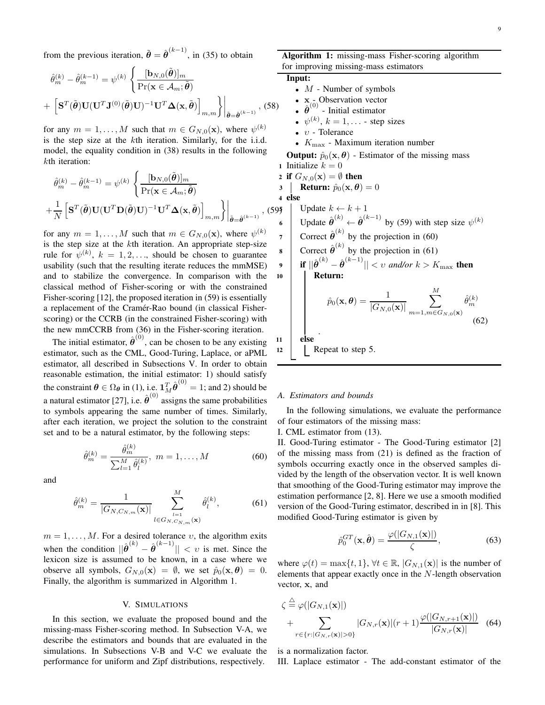from the previous iteration,  $\tilde{\boldsymbol{\theta}} = \hat{\boldsymbol{\theta}}^{(k-1)}$ , in (35) to obtain

$$
\hat{\theta}_{m}^{(k)} - \hat{\theta}_{m}^{(k-1)} = \psi^{(k)} \left\{ \frac{[\mathbf{b}_{N,0}(\tilde{\boldsymbol{\theta}})]_{m}}{\Pr(\mathbf{x} \in \mathcal{A}_{m}; \tilde{\boldsymbol{\theta}})} \right\}
$$

$$
+ \left[ \mathbf{S}^{T}(\tilde{\boldsymbol{\theta}}) \mathbf{U}(\mathbf{U}^{T} \mathbf{J}^{(0)}(\tilde{\boldsymbol{\theta}}) \mathbf{U})^{-1} \mathbf{U}^{T} \mathbf{\Delta}(\mathbf{x}, \tilde{\boldsymbol{\theta}}) \right]_{m,m} \right\} \Big|_{\tilde{\boldsymbol{\theta}} = \hat{\boldsymbol{\theta}}^{(k-1)}}, (58)
$$

for any  $m = 1, ..., M$  such that  $m \in G_{N,0}(\mathbf{x})$ , where  $\psi^{(k)}$ is the step size at the kth iteration. Similarly, for the i.i.d. model, the equality condition in (38) results in the following kth iteration:

$$
\hat{\theta}_{m}^{(k)} - \hat{\theta}_{m}^{(k-1)} = \psi^{(k)} \left\{ \frac{[\mathbf{b}_{N,0}(\tilde{\boldsymbol{\theta}})]_m}{\Pr(\mathbf{x} \in \mathcal{A}_m; \tilde{\boldsymbol{\theta}})} \right\}_{m,m} \n+ \frac{1}{N} \left[ \mathbf{S}^T(\tilde{\boldsymbol{\theta}}) \mathbf{U} (\mathbf{U}^T \mathbf{D}(\tilde{\boldsymbol{\theta}}) \mathbf{U})^{-1} \mathbf{U}^T \mathbf{\Delta}(\mathbf{x}, \tilde{\boldsymbol{\theta}}) \right]_{m,m} \right\}_{\tilde{\boldsymbol{\theta}} = \hat{\boldsymbol{\theta}}^{(k-1)}}, (595)
$$

for any  $m = 1, ..., M$  such that  $m \in G_{N,0}(\mathbf{x})$ , where  $\psi^{(k)}$ is the step size at the kth iteration. An appropriate step-size rule for  $\psi^{(k)}$ ,  $k = 1, 2, \dots$ , should be chosen to guarantee usability (such that the resulting iterate reduces the mmMSE) and to stabilize the convergence. In comparison with the classical method of Fisher-scoring or with the constrained Fisher-scoring [12], the proposed iteration in (59) is essentially a replacement of the Cramér-Rao bound (in classical Fisherscoring) or the CCRB (in the constrained Fisher-scoring) with the new mmCCRB from (36) in the Fisher-scoring iteration.

The initial estimator,  $\hat{\theta}^{(0)}$ , can be chosen to be any existing estimator, such as the CML, Good-Turing, Laplace, or aPML estimator, all described in Subsections V. In order to obtain reasonable estimation, the initial estimator: 1) should satisfy the constraint  $\theta \in \Omega_{\theta}$  in (1), i.e.  $1_M^T \hat{\theta}^{(0)} = 1$ ; and 2) should be a natural estimator [27], i.e.  $\hat{\boldsymbol{\theta}}^{(0)}$  assigns the same probabilities to symbols appearing the same number of times. Similarly, after each iteration, we project the solution to the constraint set and to be a natural estimator, by the following steps:

 $\langle \cdot \rangle$ 

$$
\hat{\theta}_m^{(k)} = \frac{\hat{\theta}_m^{(k)}}{\sum_{l=1}^M \hat{\theta}_l^{(k)}}, \ m = 1, \dots, M
$$
 (60)

and

$$
\hat{\theta}_{m}^{(k)} = \frac{1}{|G_{N,C_{N,m}}(\mathbf{x})|} \sum_{l \in G_{N,C_{N,m}}(\mathbf{x})}^{M} \hat{\theta}_{l}^{(k)}, \tag{61}
$$

 $m = 1, \ldots, M$ . For a desired tolerance  $v$ , the algorithm exits when the condition  $\|\hat{\boldsymbol{\theta}}^{(k)} - \hat{\boldsymbol{\theta}}^{(k-1)}\| < v$  is met. Since the lexicon size is assumed to be known, in a case where we observe all symbols,  $G_{N,0}(\mathbf{x}) = \emptyset$ , we set  $\hat{p}_0(\mathbf{x}, \boldsymbol{\theta}) = 0$ . Finally, the algorithm is summarized in Algorithm 1.

#### V. SIMULATIONS

In this section, we evaluate the proposed bound and the missing-mass Fisher-scoring method. In Subsection V-A, we describe the estimators and bounds that are evaluated in the simulations. In Subsections V-B and V-C we evaluate the performance for uniform and Zipf distributions, respectively.

Algorithm 1: missing-mass Fisher-scoring algorithm for improving missing-mass estimators

#### Input:

- $M$  Number of symbols
- $x \text{Observation vector}$
- $\hat{\theta}^{(0)}$  Initial estimator
- $\psi^{(k)}$ ,  $k = 1, \dots$  step sizes
- υ Tolerance
- $K_{\text{max}}$  Maximum iteration number

**Output:**  $\hat{p}_0(\mathbf{x}, \boldsymbol{\theta})$  - Estimator of the missing mass 1 Initialize  $k = 0$ 

2 if 
$$
G_{N,0}(\mathbf{x}) = \emptyset
$$
 then  
3 | Return:  $\hat{p}_0(\mathbf{x}, \theta) = 0$ 

$$
\begin{array}{c}\n\text{Return: } p_0(x, \sigma) \\
\text{else}\n\end{array}
$$

5 Update  $k \leftarrow k + 1$ 6 Update  $\hat{\boldsymbol{\theta}}^{(k)} \leftarrow \hat{\boldsymbol{\theta}}^{(k-1)}$  by (59) with step size  $\psi^{(k)}$ 7 Correct  $\hat{\boldsymbol{\theta}}^{(k)}$  by the projection in (60) 8 Correct  $\hat{\boldsymbol{\theta}}^{(k)}$  by the projection in (61)  $\textbf{y} \quad \Big| \quad \textbf{if} \; ||\hat{\boldsymbol{\theta}}^{(k)} - \hat{\boldsymbol{\theta}}^{(k-1)}|| < v \; \textit{and/or} \; k > K_{\max} \; \textbf{then}$ <sup>10</sup> Return:  $\hat{p}_0(\mathbf{x},\boldsymbol{\theta})=\frac{1}{|G_{N,0}(\mathbf{x})|}$  $\sum$ M  $m=1,m\in G_{N,0}(\mathbf{x})$  $\hat{\theta}_i$  $(k)$ m (62) . <sup>11</sup> else 12 | Repeat to step 5.

#### *A. Estimators and bounds*

In the following simulations, we evaluate the performance of four estimators of the missing mass:

I. CML estimator from (13).

II. Good-Turing estimator - The Good-Turing estimator [2] of the missing mass from (21) is defined as the fraction of symbols occurring exactly once in the observed samples divided by the length of the observation vector. It is well known that smoothing of the Good-Turing estimator may improve the estimation performance [2, 8]. Here we use a smooth modified version of the Good-Turing estimator, described in in [8]. This modified Good-Turing estimator is given by

$$
\hat{p}_0^{GT}(\mathbf{x}, \hat{\boldsymbol{\theta}}) = \frac{\varphi(|G_{N,1}(\mathbf{x})|)}{\zeta},\tag{63}
$$

where  $\varphi(t) = \max\{t, 1\}$ ,  $\forall t \in \mathbb{R}$ ,  $|G_{N,1}(\mathbf{x})|$  is the number of elements that appear exactly once in the N-length observation vector, x, and

$$
\zeta \stackrel{\triangle}{=} \varphi(|G_{N,1}(\mathbf{x})|)
$$
\n
$$
+ \sum_{r \in \{r : |G_{N,r}(\mathbf{x})| > 0\}} |G_{N,r}(\mathbf{x})|(r+1) \frac{\varphi(|G_{N,r+1}(\mathbf{x})|)}{|G_{N,r}(\mathbf{x})|} \quad (64)
$$

is a normalization factor.

 $\lambda$ 

III. Laplace estimator - The add-constant estimator of the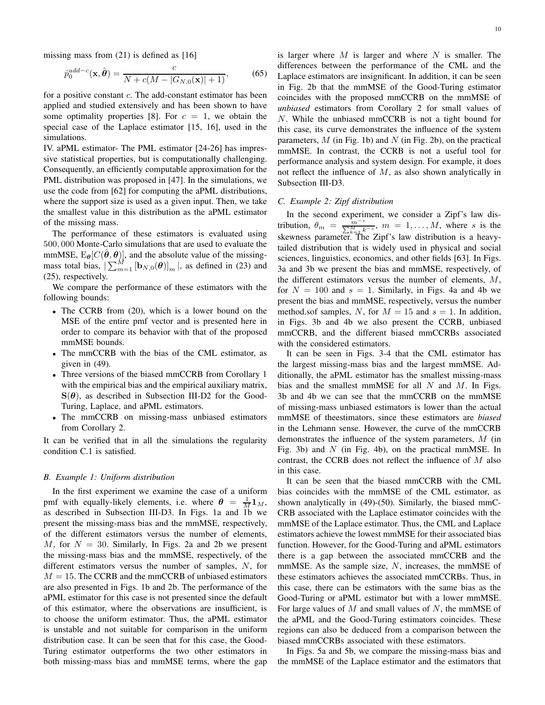missing mass from  $(21)$  is defined as [16]

$$
\hat{p}_0^{add-c}(\mathbf{x}, \hat{\boldsymbol{\theta}}) = \frac{c}{N + c(M - |G_{N,0}(\mathbf{x})| + 1)},
$$
(65)

for a positive constant  $c$ . The add-constant estimator has been applied and studied extensively and has been shown to have some optimality properties [8]. For  $c = 1$ , we obtain the special case of the Laplace estimator [15, 16], used in the simulations.

IV. aPML estimator- The PML estimator [24-26] has impressive statistical properties, but is computationally challenging. Consequently, an efficiently computable approximation for the PML distribution was proposed in [47]. In the simulations, we use the code from [62] for computing the aPML distributions, where the support size is used as a given input. Then, we take the smallest value in this distribution as the aPML estimator of the missing mass.

The performance of these estimators is evaluated using 500, 000 Monte-Carlo simulations that are used to evaluate the mmMSE,  $E_{\theta}[C(\hat{\theta}, \theta)]$ , and the absolute value of the missingmass total bias,  $\left[\sum_{m=1}^{M} [\mathbf{b}_{N,0}(\boldsymbol{\theta})]_m\right]$ , as defined in (23) and (25), respectively.

We compare the performance of these estimators with the following bounds:

- The CCRB from (20), which is a lower bound on the MSE of the entire pmf vector and is presented here in order to compare its behavior with that of the proposed mmMSE bounds.
- The mmCCRB with the bias of the CML estimator, as given in (49).
- Three versions of the biased mmCCRB from Corollary 1 with the empirical bias and the empirical auxiliary matrix,  $S(\theta)$ , as described in Subsection III-D2 for the Good-Turing, Laplace, and aPML estimators.
- The mmCCRB on missing-mass unbiased estimators from Corollary 2.

It can be verified that in all the simulations the regularity condition C.1 is satisfied.

#### *B. Example 1: Uniform distribution*

In the first experiment we examine the case of a uniform pmf with equally-likely elements, i.e. where  $\theta = \frac{1}{M} \mathbf{1}_M$ , as described in Subsection III-D3. In Figs. 1a and 1b we present the missing-mass bias and the mmMSE, respectively, of the different estimators versus the number of elements, M, for  $N = 30$ . Similarly, In Figs. 2a and 2b we present the missing-mass bias and the mmMSE, respectively, of the different estimators versus the number of samples, N, for  $M = 15$ . The CCRB and the mmCCRB of unbiased estimators are also presented in Figs. 1b and 2b. The performance of the aPML estimator for this case is not presented since the default of this estimator, where the observations are insufficient, is to choose the uniform estimator. Thus, the aPML estimator is unstable and not suitable for comparison in the uniform distribution case. It can be seen that for this case, the Good-Turing estimator outperforms the two other estimators in both missing-mass bias and mmMSE terms, where the gap 10

is larger where  $M$  is larger and where  $N$  is smaller. The differences between the performance of the CML and the Laplace estimators are insignificant. In addition, it can be seen in Fig. 2b that the mmMSE of the Good-Turing estimator coincides with the proposed mmCCRB on the mmMSE of *unbiased* estimators from Corollary 2 for small values of N. While the unbiased mmCCRB is not a tight bound for this case, its curve demonstrates the influence of the system parameters,  $M$  (in Fig. 1b) and  $N$  (in Fig. 2b), on the practical mmMSE. In contrast, the CCRB is not a useful tool for performance analysis and system design. For example, it does not reflect the influence of M, as also shown analytically in Subsection III-D3.

#### *C. Example 2: Zipf distribution*

In the second experiment, we consider a Zipf's law distribution,  $\theta_m = \frac{m^{-s}}{\sum_{l=1}^{M} n_l}$  $\frac{m}{\sum_{k=1}^{M} k-s}$ ,  $m = 1, \ldots, M$ , where s is the skewness parameter. The Zipf's law distribution is a heavytailed distribution that is widely used in physical and social sciences, linguistics, economics, and other fields [63]. In Figs. 3a and 3b we present the bias and mmMSE, respectively, of the different estimators versus the number of elements, M, for  $N = 100$  and  $s = 1$ . Similarly, in Figs. 4a and 4b we present the bias and mmMSE, respectively, versus the number method.sof samples, N, for  $M = 15$  and  $s = 1$ . In addition, in Figs. 3b and 4b we also present the CCRB, unbiased mmCCRB, and the different biased mmCCRBs associated with the considered estimators.

It can be seen in Figs. 3-4 that the CML estimator has the largest missing-mass bias and the largest mmMSE. Additionally, the aPML estimator has the smallest missing-mass bias and the smallest mmMSE for all  $N$  and  $M$ . In Figs. 3b and 4b we can see that the mmCCRB on the mmMSE of missing-mass unbiased estimators is lower than the actual mmMSE of theestimators, since these estimators are *biased* in the Lehmann sense. However, the curve of the mmCCRB demonstrates the influence of the system parameters, M (in Fig. 3b) and  $N$  (in Fig. 4b), on the practical mmMSE. In contrast, the CCRB does not reflect the influence of M also in this case.

It can be seen that the biased mmCCRB with the CML bias coincides with the mmMSE of the CML estimator, as shown analytically in (49)-(50). Similarly, the biased mmC-CRB associated with the Laplace estimator coincides with the mmMSE of the Laplace estimator. Thus, the CML and Laplace estimators achieve the lowest mmMSE for their associated bias function. However, for the Good-Turing and aPML estimators there is a gap between the associated mmCCRB and the mmMSE. As the sample size,  $N$ , increases, the mmMSE of these estimators achieves the associated mmCCRBs. Thus, in this case, there can be estimators with the same bias as the Good-Turing or aPML estimator but with a lower mmMSE. For large values of  $M$  and small values of  $N$ , the mmMSE of the aPML and the Good-Turing estimators coincides. These regions can also be deduced from a comparison between the biased mmCCRBs associated with these estimators.

In Figs. 5a and 5b, we compare the missing-mass bias and the mmMSE of the Laplace estimator and the estimators that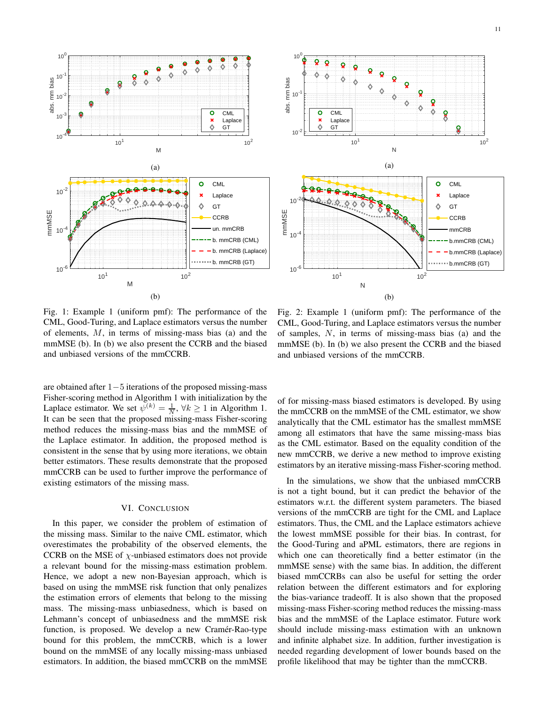



Fig. 1: Example 1 (uniform pmf): The performance of the CML, Good-Turing, and Laplace estimators versus the number of elements, M, in terms of missing-mass bias (a) and the mmMSE (b). In (b) we also present the CCRB and the biased and unbiased versions of the mmCCRB.

Fig. 2: Example 1 (uniform pmf): The performance of the CML, Good-Turing, and Laplace estimators versus the number of samples, N, in terms of missing-mass bias (a) and the mmMSE (b). In (b) we also present the CCRB and the biased and unbiased versions of the mmCCRB.

are obtained after 1−5 iterations of the proposed missing-mass Fisher-scoring method in Algorithm 1 with initialization by the Laplace estimator. We set  $\psi^{(k)} = \frac{1}{N}, \forall k \ge 1$  in Algorithm 1. It can be seen that the proposed missing-mass Fisher-scoring method reduces the missing-mass bias and the mmMSE of the Laplace estimator. In addition, the proposed method is consistent in the sense that by using more iterations, we obtain better estimators. These results demonstrate that the proposed mmCCRB can be used to further improve the performance of existing estimators of the missing mass.

#### VI. CONCLUSION

In this paper, we consider the problem of estimation of the missing mass. Similar to the naive CML estimator, which overestimates the probability of the observed elements, the CCRB on the MSE of  $\chi$ -unbiased estimators does not provide a relevant bound for the missing-mass estimation problem. Hence, we adopt a new non-Bayesian approach, which is based on using the mmMSE risk function that only penalizes the estimation errors of elements that belong to the missing mass. The missing-mass unbiasedness, which is based on Lehmann's concept of unbiasedness and the mmMSE risk function, is proposed. We develop a new Cramér-Rao-type bound for this problem, the mmCCRB, which is a lower bound on the mmMSE of any locally missing-mass unbiased estimators. In addition, the biased mmCCRB on the mmMSE

of for missing-mass biased estimators is developed. By using the mmCCRB on the mmMSE of the CML estimator, we show analytically that the CML estimator has the smallest mmMSE among all estimators that have the same missing-mass bias as the CML estimator. Based on the equality condition of the new mmCCRB, we derive a new method to improve existing estimators by an iterative missing-mass Fisher-scoring method.

In the simulations, we show that the unbiased mmCCRB is not a tight bound, but it can predict the behavior of the estimators w.r.t. the different system parameters. The biased versions of the mmCCRB are tight for the CML and Laplace estimators. Thus, the CML and the Laplace estimators achieve the lowest mmMSE possible for their bias. In contrast, for the Good-Turing and aPML estimators, there are regions in which one can theoretically find a better estimator (in the mmMSE sense) with the same bias. In addition, the different biased mmCCRBs can also be useful for setting the order relation between the different estimators and for exploring the bias-variance tradeoff. It is also shown that the proposed missing-mass Fisher-scoring method reduces the missing-mass bias and the mmMSE of the Laplace estimator. Future work should include missing-mass estimation with an unknown and infinite alphabet size. In addition, further investigation is needed regarding development of lower bounds based on the profile likelihood that may be tighter than the mmCCRB.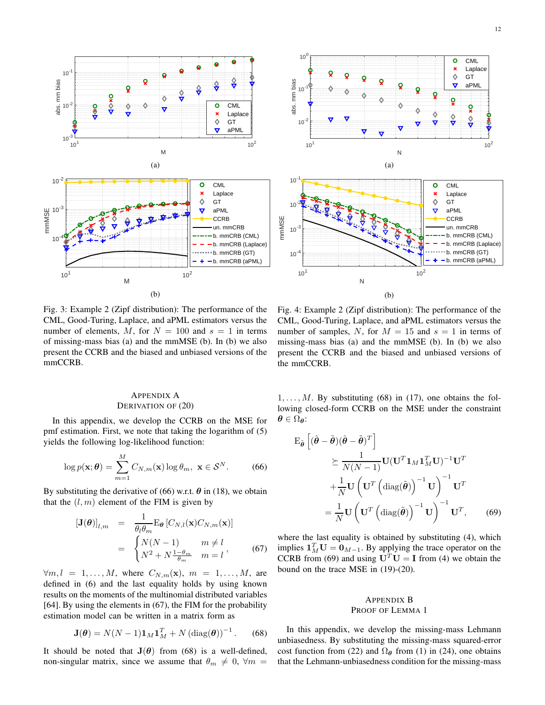



Fig. 3: Example 2 (Zipf distribution): The performance of the CML, Good-Turing, Laplace, and aPML estimators versus the number of elements, M, for  $N = 100$  and  $s = 1$  in terms of missing-mass bias (a) and the mmMSE (b). In (b) we also present the CCRB and the biased and unbiased versions of the mmCCRB.

# APPENDIX A DERIVATION OF (20)

In this appendix, we develop the CCRB on the MSE for pmf estimation. First, we note that taking the logarithm of (5) yields the following log-likelihood function:

$$
\log p(\mathbf{x}; \boldsymbol{\theta}) = \sum_{m=1}^{M} C_{N,m}(\mathbf{x}) \log \theta_m, \ \mathbf{x} \in \mathcal{S}^{N}.
$$
 (66)

By substituting the derivative of (66) w.r.t.  $\theta$  in (18), we obtain that the  $(l, m)$  element of the FIM is given by

$$
[\mathbf{J}(\boldsymbol{\theta})]_{l,m} = \frac{1}{\theta_l \theta_m} \mathbf{E}_{\boldsymbol{\theta}} \left[ C_{N,l}(\mathbf{x}) C_{N,m}(\mathbf{x}) \right]
$$

$$
= \begin{cases} N(N-1) & m \neq l \\ N^2 + N \frac{1 - \theta_m}{\theta_m} & m = l \end{cases}
$$
(67)

 $\forall m, l = 1, \ldots, M$ , where  $C_{N,m}(\mathbf{x})$ ,  $m = 1, \ldots, M$ , are defined in (6) and the last equality holds by using known results on the moments of the multinomial distributed variables [64]. By using the elements in (67), the FIM for the probability estimation model can be written in a matrix form as

$$
\mathbf{J}(\boldsymbol{\theta}) = N(N-1)\mathbf{1}_M \mathbf{1}_M^T + N \left(\text{diag}(\boldsymbol{\theta})\right)^{-1}.
$$
 (68)

It should be noted that  $J(\theta)$  from (68) is a well-defined, non-singular matrix, since we assume that  $\theta_m \neq 0$ ,  $\forall m =$ 

Fig. 4: Example 2 (Zipf distribution): The performance of the CML, Good-Turing, Laplace, and aPML estimators versus the number of samples, N, for  $M = 15$  and  $s = 1$  in terms of missing-mass bias (a) and the mmMSE (b). In (b) we also present the CCRB and the biased and unbiased versions of the mmCCRB.

 $1, \ldots, M$ . By substituting (68) in (17), one obtains the following closed-form CCRB on the MSE under the constraint  $\theta \in \Omega_{\theta}$ :

$$
\mathbf{E}_{\tilde{\boldsymbol{\theta}}} \left[ (\hat{\boldsymbol{\theta}} - \tilde{\boldsymbol{\theta}})(\hat{\boldsymbol{\theta}} - \tilde{\boldsymbol{\theta}})^{T} \right] \geq \frac{1}{N(N-1)} \mathbf{U} (\mathbf{U}^{T} \mathbf{1}_{M} \mathbf{1}_{M}^{T} \mathbf{U})^{-1} \mathbf{U}^{T} + \frac{1}{N} \mathbf{U} \left( \mathbf{U}^{T} \left( \text{diag}(\tilde{\boldsymbol{\theta}}) \right)^{-1} \mathbf{U} \right)^{-1} \mathbf{U}^{T} = \frac{1}{N} \mathbf{U} \left( \mathbf{U}^{T} \left( \text{diag}(\tilde{\boldsymbol{\theta}}) \right)^{-1} \mathbf{U} \right)^{-1} \mathbf{U}^{T}, \qquad (69)
$$

where the last equality is obtained by substituting (4), which implies  $\mathbf{1}_M^T \mathbf{U} = \mathbf{0}_{M-1}$ . By applying the trace operator on the CCRB from (69) and using  $U<sup>T</sup>U = I$  from (4) we obtain the bound on the trace MSE in (19)-(20).

# APPENDIX B PROOF OF LEMMA 1

In this appendix, we develop the missing-mass Lehmann unbiasedness. By substituting the missing-mass squared-error cost function from (22) and  $\Omega_{\theta}$  from (1) in (24), one obtains that the Lehmann-unbiasedness condition for the missing-mass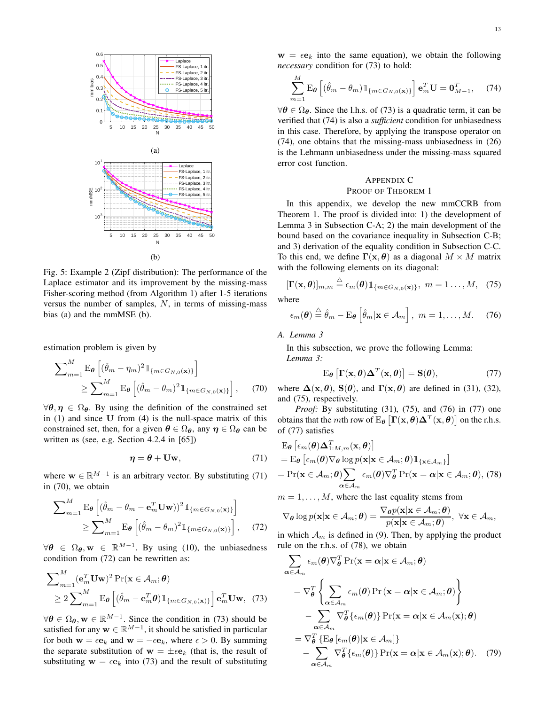

Fig. 5: Example 2 (Zipf distribution): The performance of the Laplace estimator and its improvement by the missing-mass Fisher-scoring method (from Algorithm 1) after 1-5 iterations versus the number of samples, N, in terms of missing-mass bias (a) and the mmMSE (b).

estimation problem is given by

$$
\sum_{m=1}^{M} \mathbf{E}_{\theta} \left[ (\hat{\theta}_{m} - \eta_{m})^{2} \mathbb{1}_{\{m \in G_{N,0}(\mathbf{x})\}} \right] \geq \sum_{m=1}^{M} \mathbf{E}_{\theta} \left[ (\hat{\theta}_{m} - \theta_{m})^{2} \mathbb{1}_{\{m \in G_{N,0}(\mathbf{x})\}} \right], \quad (70)
$$

 $\forall \theta, \eta \in \Omega_{\theta}$ . By using the definition of the constrained set in (1) and since U from (4) is the null-space matrix of this constrained set, then, for a given  $\theta \in \Omega_{\theta}$ , any  $\eta \in \Omega_{\theta}$  can be written as (see, e.g. Section 4.2.4 in [65])

$$
\eta = \theta + \mathbf{U}\mathbf{w},\tag{71}
$$

where  $\mathbf{w} \in \mathbb{R}^{M-1}$  is an arbitrary vector. By substituting (71) in (70), we obtain

$$
\sum_{m=1}^{M} \mathbf{E}_{\theta} \left[ (\hat{\theta}_{m} - \theta_{m} - \mathbf{e}_{m}^{T} \mathbf{U} \mathbf{w}))^{2} \mathbb{1}_{\{m \in G_{N,0}(\mathbf{x})\}} \right] \geq \sum_{m=1}^{M} \mathbf{E}_{\theta} \left[ (\hat{\theta}_{m} - \theta_{m})^{2} \mathbb{1}_{\{m \in G_{N,0}(\mathbf{x})\}} \right], \quad (72)
$$

 $\forall \theta \in \Omega_{\theta}, \mathbf{w} \in \mathbb{R}^{M-1}$ . By using (10), the unbiasedness condition from (72) can be rewritten as:

$$
\sum_{m=1}^{M} (\mathbf{e}_m^T \mathbf{U} \mathbf{w})^2 \Pr(\mathbf{x} \in A_m; \boldsymbol{\theta})
$$
  
\n
$$
\geq 2 \sum_{m=1}^{M} \mathrm{E}_{\boldsymbol{\theta}} \left[ (\hat{\theta}_m - \mathbf{e}_m^T \boldsymbol{\theta}) \mathbb{1}_{\{m \in G_{N,0}(\mathbf{x})\}} \right] \mathbf{e}_m^T \mathbf{U} \mathbf{w}, \quad (73)
$$

 $\forall \theta \in \Omega_{\theta}, \mathbf{w} \in \mathbb{R}^{M-1}$ . Since the condition in (73) should be satisfied for any  $w \in \mathbb{R}^{M-1}$ , it should be satisfied in particular for both  $\mathbf{w} = \epsilon \mathbf{e}_k$  and  $\mathbf{w} = -\epsilon \mathbf{e}_k$ , where  $\epsilon > 0$ . By summing the separate substitution of  $w = \pm \epsilon e_k$  (that is, the result of substituting  $w = \epsilon e_k$  into (73) and the result of substituting

 $w = \epsilon e_k$  into the same equation), we obtain the following *necessary* condition for (73) to hold:

$$
\sum_{m=1}^{M} \mathbf{E}_{\theta} \left[ (\hat{\theta}_{m} - \theta_{m}) \mathbb{1}_{\{m \in G_{N,0}(\mathbf{x})\}} \right] \mathbf{e}_{m}^{T} \mathbf{U} = \mathbf{0}_{M-1}^{T}, \quad (74)
$$

 $\forall \theta \in \Omega_{\theta}$ . Since the l.h.s. of (73) is a quadratic term, it can be verified that (74) is also a *sufficient* condition for unbiasedness in this case. Therefore, by applying the transpose operator on (74), one obtains that the missing-mass unbiasedness in (26) is the Lehmann unbiasedness under the missing-mass squared error cost function.

# APPENDIX C

# PROOF OF THEOREM 1

In this appendix, we develop the new mmCCRB from Theorem 1. The proof is divided into: 1) the development of Lemma 3 in Subsection C-A; 2) the main development of the bound based on the covariance inequality in Subsection C-B; and 3) derivation of the equality condition in Subsection C-C. To this end, we define  $\Gamma(x, \theta)$  as a diagonal  $M \times M$  matrix with the following elements on its diagonal:

$$
[\mathbf{\Gamma}(\mathbf{x},\boldsymbol{\theta})]_{m,m} \stackrel{\triangle}{=} \epsilon_m(\boldsymbol{\theta}) \mathbbm{1}_{\{m \in G_{N,0}(\mathbf{x})\}}, \ m = 1 \ldots, M, \quad (75)
$$

where

$$
\epsilon_m(\boldsymbol{\theta}) \stackrel{\triangle}{=} \hat{\theta}_m - \mathrm{E}_{\boldsymbol{\theta}} \left[ \hat{\theta}_m | \mathbf{x} \in \mathcal{A}_m \right], \ m = 1, \dots, M. \tag{76}
$$

*A. Lemma 3*

In this subsection, we prove the following Lemma: *Lemma 3:*

$$
E_{\theta}\left[\Gamma(x,\theta)\Delta^{T}(x,\theta)\right] = S(\theta),\tag{77}
$$

where  $\Delta(\mathbf{x}, \theta)$ ,  $S(\theta)$ , and  $\Gamma(\mathbf{x}, \theta)$  are defined in (31), (32), and (75), respectively.

*Proof:* By substituting (31), (75), and (76) in (77) one obtains that the *m*th row of E $_{\theta}$   $[\Gamma(\mathbf{x}, \theta) \Delta^{T}(\mathbf{x}, \theta)]$  on the r.h.s. of (77) satisfies

$$
\mathbf{E}_{\theta} \left[ \epsilon_m(\theta) \Delta_{1:M,m}^T(\mathbf{x}, \theta) \right]
$$
\n
$$
= \mathbf{E}_{\theta} \left[ \epsilon_m(\theta) \nabla_{\theta} \log p(\mathbf{x} | \mathbf{x} \in \mathcal{A}_m; \theta) \mathbb{1}_{\{\mathbf{x} \in \mathcal{A}_m\}} \right]
$$
\n
$$
= \Pr(\mathbf{x} \in \mathcal{A}_m; \theta) \sum_{\alpha \in \mathcal{A}_m} \epsilon_m(\theta) \nabla_{\theta}^T \Pr(\mathbf{x} = \alpha | \mathbf{x} \in \mathcal{A}_m; \theta), (78)
$$

 $m = 1, \ldots, M$ , where the last equality stems from

$$
\nabla_{\theta} \log p(\mathbf{x}|\mathbf{x} \in \mathcal{A}_m; \theta) = \frac{\nabla_{\theta} p(\mathbf{x}|\mathbf{x} \in \mathcal{A}_m; \theta)}{p(\mathbf{x}|\mathbf{x} \in \mathcal{A}_m; \theta)}, \ \forall \mathbf{x} \in \mathcal{A}_m,
$$

in which  $\mathcal{A}_m$  is defined in (9). Then, by applying the product rule on the r.h.s. of (78), we obtain

$$
\sum_{\alpha \in \mathcal{A}_m} \epsilon_m(\theta) \nabla_{\theta}^T \Pr(\mathbf{x} = \alpha | \mathbf{x} \in \mathcal{A}_m; \theta)
$$
\n
$$
= \nabla_{\theta}^T \left\{ \sum_{\alpha \in \mathcal{A}_m} \epsilon_m(\theta) \Pr(\mathbf{x} = \alpha | \mathbf{x} \in \mathcal{A}_m; \theta) \right\}
$$
\n
$$
- \sum_{\alpha \in \mathcal{A}_m} \nabla_{\theta}^T \{\epsilon_m(\theta)\} \Pr(\mathbf{x} = \alpha | \mathbf{x} \in \mathcal{A}_m(\mathbf{x}); \theta)
$$
\n
$$
= \nabla_{\theta}^T \{ \mathbb{E}_{\theta} [\epsilon_m(\theta) | \mathbf{x} \in \mathcal{A}_m] \}
$$
\n
$$
- \sum_{\alpha \in \mathcal{A}_m} \nabla_{\theta}^T \{\epsilon_m(\theta)\} \Pr(\mathbf{x} = \alpha | \mathbf{x} \in \mathcal{A}_m(\mathbf{x}); \theta). \quad (79)
$$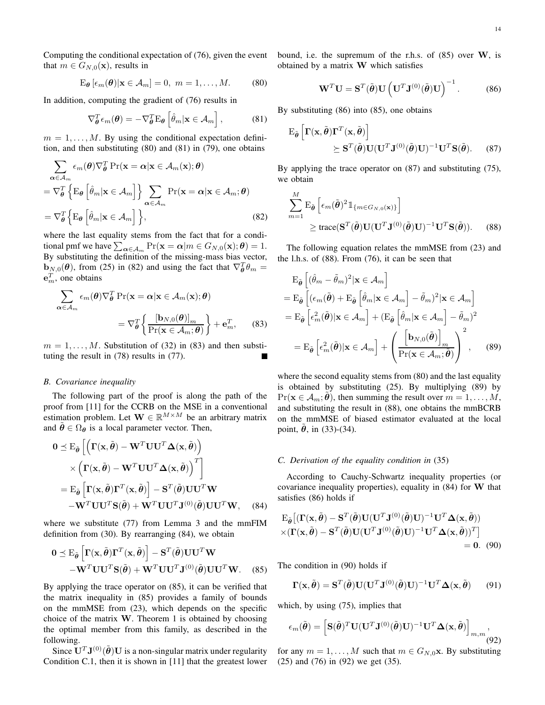Computing the conditional expectation of (76), given the event that  $m \in G_{N,0}(\mathbf{x})$ , results in

$$
E_{\theta} \left[ \epsilon_m(\theta) | \mathbf{x} \in \mathcal{A}_m \right] = 0, \ m = 1, \dots, M. \tag{80}
$$

In addition, computing the gradient of (76) results in

$$
\nabla_{\boldsymbol{\theta}}^T \epsilon_m(\boldsymbol{\theta}) = -\nabla_{\boldsymbol{\theta}}^T \mathbf{E}_{\boldsymbol{\theta}} \left[ \hat{\theta}_m | \mathbf{x} \in \mathcal{A}_m \right], \tag{81}
$$

 $m = 1, \ldots, M$ . By using the conditional expectation definition, and then substituting (80) and (81) in (79), one obtains

$$
\sum_{\alpha \in \mathcal{A}_m} \epsilon_m(\theta) \nabla_{\theta}^T \Pr(\mathbf{x} = \alpha | \mathbf{x} \in \mathcal{A}_m(\mathbf{x}); \theta)
$$

$$
= \nabla_{\theta}^T \left\{ \mathrm{E}_{\theta} \left[ \hat{\theta}_m | \mathbf{x} \in \mathcal{A}_m \right] \right\} \sum_{\alpha \in \mathcal{A}_m} \Pr(\mathbf{x} = \alpha | \mathbf{x} \in \mathcal{A}_m; \theta)
$$

$$
= \nabla_{\theta}^T \left\{ \mathrm{E}_{\theta} \left[ \hat{\theta}_m | \mathbf{x} \in \mathcal{A}_m \right] \right\}, \tag{82}
$$

where the last equality stems from the fact that for a conditional pmf we have  $\sum_{\alpha \in A_m} \Pr(\mathbf{x} = \alpha | m \in G_{N,0}(\mathbf{x}); \theta) = 1.$ By substituting the definition of the missing-mass bias vector,  $\mathbf{b}_{N,0}(\boldsymbol{\theta})$ , from (25) in (82) and using the fact that  $\nabla_{\boldsymbol{\theta}}^T \theta_m =$  $\mathbf{e}_m^T$ , one obtains

$$
\sum_{\alpha \in \mathcal{A}_m} \epsilon_m(\theta) \nabla_{\theta}^T \Pr(\mathbf{x} = \alpha | \mathbf{x} \in \mathcal{A}_m(\mathbf{x}); \theta)
$$

$$
= \nabla_{\theta}^T \left\{ \frac{[\mathbf{b}_{N,0}(\theta)]_m}{\Pr(\mathbf{x} \in \mathcal{A}_m; \theta)} \right\} + \mathbf{e}_m^T, \qquad (83)
$$

 $m = 1, \ldots, M$ . Substitution of (32) in (83) and then substituting the result in (78) results in (77).

#### *B. Covariance inequality*

The following part of the proof is along the path of the proof from [11] for the CCRB on the MSE in a conventional estimation problem. Let  $\mathbf{W} \in \mathbb{R}^{M \times M}$  be an arbitrary matrix and  $\tilde{\theta} \in \Omega_{\theta}$  is a local parameter vector. Then,

$$
0 \leq E_{\tilde{\boldsymbol{\theta}}} \left[ \left( \boldsymbol{\Gamma}(\mathbf{x}, \tilde{\boldsymbol{\theta}}) - \mathbf{W}^T \mathbf{U} \mathbf{U}^T \boldsymbol{\Delta}(\mathbf{x}, \tilde{\boldsymbol{\theta}}) \right) \times \left( \boldsymbol{\Gamma}(\mathbf{x}, \tilde{\boldsymbol{\theta}}) - \mathbf{W}^T \mathbf{U} \mathbf{U}^T \boldsymbol{\Delta}(\mathbf{x}, \tilde{\boldsymbol{\theta}}) \right)^T \right] = E_{\tilde{\boldsymbol{\theta}}} \left[ \boldsymbol{\Gamma}(\mathbf{x}, \tilde{\boldsymbol{\theta}}) \boldsymbol{\Gamma}^T(\mathbf{x}, \tilde{\boldsymbol{\theta}}) \right] - \mathbf{S}^T(\tilde{\boldsymbol{\theta}}) \mathbf{U} \mathbf{U}^T \mathbf{W} - \mathbf{W}^T \mathbf{U} \mathbf{U}^T \mathbf{S}(\tilde{\boldsymbol{\theta}}) + \mathbf{W}^T \mathbf{U} \mathbf{U}^T \mathbf{J}^{(0)}(\tilde{\boldsymbol{\theta}}) \mathbf{U} \mathbf{U}^T \mathbf{W}, \quad (84)
$$

where we substitute (77) from Lemma 3 and the mmFIM definition from (30). By rearranging (84), we obtain

$$
0 \leq E_{\tilde{\boldsymbol{\theta}}} \left[ \boldsymbol{\Gamma}(\mathbf{x}, \tilde{\boldsymbol{\theta}}) \boldsymbol{\Gamma}^T(\mathbf{x}, \tilde{\boldsymbol{\theta}}) \right] - \mathbf{S}^T(\tilde{\boldsymbol{\theta}}) \mathbf{U} \mathbf{U}^T \mathbf{W} - \mathbf{W}^T \mathbf{U} \mathbf{U}^T \mathbf{S}(\tilde{\boldsymbol{\theta}}) + \mathbf{W}^T \mathbf{U} \mathbf{U}^T \mathbf{J}^{(0)}(\tilde{\boldsymbol{\theta}}) \mathbf{U} \mathbf{U}^T \mathbf{W}.
$$
 (85)

By applying the trace operator on (85), it can be verified that the matrix inequality in (85) provides a family of bounds on the mmMSE from (23), which depends on the specific choice of the matrix  $W$ . Theorem 1 is obtained by choosing the optimal member from this family, as described in the following.

Since  $\mathbf{U}^T \mathbf{J}^{(0)}(\tilde{\boldsymbol{\theta}}) \mathbf{U}$  is a non-singular matrix under regularity Condition C.1, then it is shown in [11] that the greatest lower bound, i.e. the supremum of the r.h.s. of  $(85)$  over W, is obtained by a matrix W which satisfies

$$
\mathbf{W}^T \mathbf{U} = \mathbf{S}^T(\tilde{\boldsymbol{\theta}}) \mathbf{U} \left( \mathbf{U}^T \mathbf{J}^{(0)}(\tilde{\boldsymbol{\theta}}) \mathbf{U} \right)^{-1}.
$$
 (86)

By substituting (86) into (85), one obtains

$$
\mathbf{E}_{\tilde{\boldsymbol{\theta}}} \left[ \boldsymbol{\Gamma}(\mathbf{x}, \tilde{\boldsymbol{\theta}}) \boldsymbol{\Gamma}^T(\mathbf{x}, \tilde{\boldsymbol{\theta}}) \right] \geq \mathbf{S}^T(\tilde{\boldsymbol{\theta}}) \mathbf{U} (\mathbf{U}^T \mathbf{J}^{(0)}(\tilde{\boldsymbol{\theta}}) \mathbf{U})^{-1} \mathbf{U}^T \mathbf{S}(\tilde{\boldsymbol{\theta}}).
$$
 (87)

By applying the trace operator on (87) and substituting (75), we obtain

$$
\sum_{m=1}^{M} \mathbf{E}_{\tilde{\boldsymbol{\theta}}} \left[ \epsilon_m(\tilde{\boldsymbol{\theta}})^2 \mathbb{1}_{\{m \in G_{N,0}(\mathbf{x})\}} \right] \geq \text{trace}(\mathbf{S}^T(\tilde{\boldsymbol{\theta}}) \mathbf{U}(\mathbf{U}^T \mathbf{J}^{(0)}(\tilde{\boldsymbol{\theta}}) \mathbf{U})^{-1} \mathbf{U}^T \mathbf{S}(\tilde{\boldsymbol{\theta}})).
$$
 (88)

The following equation relates the mmMSE from (23) and the l.h.s. of (88). From (76), it can be seen that

$$
E_{\tilde{\boldsymbol{\theta}}} \left[ (\hat{\theta}_m - \tilde{\theta}_m)^2 | \mathbf{x} \in \mathcal{A}_m \right]
$$
  
\n
$$
= E_{\tilde{\boldsymbol{\theta}}} \left[ (\epsilon_m(\tilde{\boldsymbol{\theta}}) + E_{\tilde{\boldsymbol{\theta}}} \left[ \hat{\theta}_m | \mathbf{x} \in \mathcal{A}_m \right] - \tilde{\theta}_m)^2 | \mathbf{x} \in \mathcal{A}_m \right]
$$
  
\n
$$
= E_{\tilde{\boldsymbol{\theta}}} \left[ \epsilon_m^2(\tilde{\boldsymbol{\theta}}) | \mathbf{x} \in \mathcal{A}_m \right] + (E_{\tilde{\boldsymbol{\theta}}} \left[ \hat{\theta}_m | \mathbf{x} \in \mathcal{A}_m \right] - \tilde{\theta}_m)^2
$$
  
\n
$$
= E_{\tilde{\boldsymbol{\theta}}} \left[ \epsilon_m^2(\tilde{\boldsymbol{\theta}}) | \mathbf{x} \in \mathcal{A}_m \right] + \left( \frac{\left[ \mathbf{b}_{N,0}(\tilde{\boldsymbol{\theta}}) \right]_m}{\Pr(\mathbf{x} \in \mathcal{A}_m; \tilde{\boldsymbol{\theta}})} \right)^2, \quad (89)
$$

where the second equality stems from (80) and the last equality is obtained by substituting (25). By multiplying (89) by  $Pr(\mathbf{x} \in A_m; \boldsymbol{\theta})$ , then summing the result over  $m = 1, \ldots, M$ , and substituting the result in (88), one obtains the mmBCRB on the mmMSE of biased estimator evaluated at the local point,  $\theta$ , in (33)-(34).

#### *C. Derivation of the equality condition in* (35)

According to Cauchy-Schwartz inequality properties (or covariance inequality properties), equality in  $(84)$  for W that satisfies (86) holds if

$$
\mathbf{E}_{\tilde{\boldsymbol{\theta}}}[(\mathbf{\Gamma}(\mathbf{x},\tilde{\boldsymbol{\theta}}) - \mathbf{S}^T(\tilde{\boldsymbol{\theta}})\mathbf{U}(\mathbf{U}^T\mathbf{J}^{(0)}(\tilde{\boldsymbol{\theta}})\mathbf{U})^{-1}\mathbf{U}^T\mathbf{\Delta}(\mathbf{x},\tilde{\boldsymbol{\theta}}))
$$

$$
\times (\mathbf{\Gamma}(\mathbf{x},\tilde{\boldsymbol{\theta}}) - \mathbf{S}^T(\tilde{\boldsymbol{\theta}})\mathbf{U}(\mathbf{U}^T\mathbf{J}^{(0)}(\tilde{\boldsymbol{\theta}})\mathbf{U})^{-1}\mathbf{U}^T\mathbf{\Delta}(\mathbf{x},\tilde{\boldsymbol{\theta}}))^T ]
$$

$$
= 0. \quad (90)
$$

The condition in (90) holds if

$$
\mathbf{\Gamma}(\mathbf{x}, \tilde{\boldsymbol{\theta}}) = \mathbf{S}^T(\tilde{\boldsymbol{\theta}}) \mathbf{U} (\mathbf{U}^T \mathbf{J}^{(0)}(\tilde{\boldsymbol{\theta}}) \mathbf{U})^{-1} \mathbf{U}^T \boldsymbol{\Delta}(\mathbf{x}, \tilde{\boldsymbol{\theta}})
$$
(91)

which, by using (75), implies that

$$
\epsilon_m(\tilde{\boldsymbol{\theta}}) = \left[ \mathbf{S}(\tilde{\boldsymbol{\theta}})^T \mathbf{U} (\mathbf{U}^T \mathbf{J}^{(0)}(\tilde{\boldsymbol{\theta}}) \mathbf{U})^{-1} \mathbf{U}^T \mathbf{\Delta}(\mathbf{x}, \tilde{\boldsymbol{\theta}}) \right]_{m,m},
$$
\n(92)

for any  $m = 1, \ldots, M$  such that  $m \in G_{N,0}$ **x**. By substituting (25) and (76) in (92) we get (35).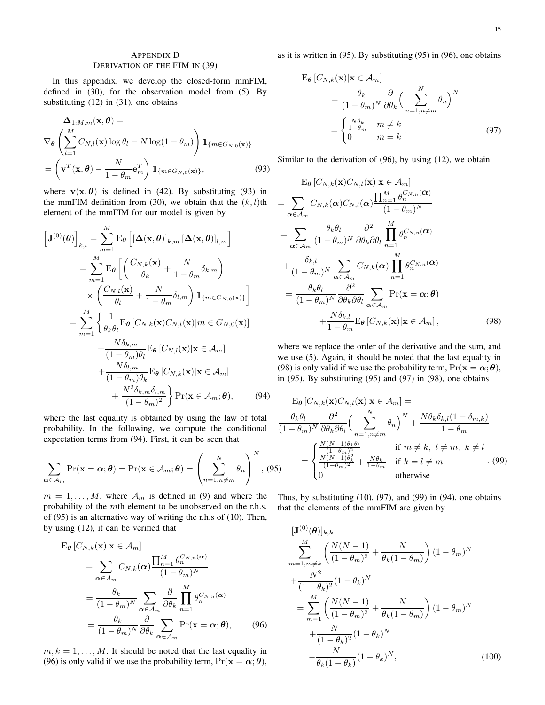# APPENDIX D DERIVATION OF THE FIM IN (39)

In this appendix, we develop the closed-form mmFIM, defined in (30), for the observation model from (5). By substituting (12) in (31), one obtains

$$
\Delta_{1:M,m}(\mathbf{x}, \boldsymbol{\theta}) =
$$
\n
$$
\nabla_{\boldsymbol{\theta}} \left( \sum_{l=1}^{M} C_{N,l}(\mathbf{x}) \log \theta_{l} - N \log(1 - \theta_{m}) \right) \mathbb{1}_{\{m \in G_{N,0}(\mathbf{x})\}}
$$
\n
$$
= \left( \mathbf{v}^{T}(\mathbf{x}, \boldsymbol{\theta}) - \frac{N}{1 - \theta_{m}} \mathbf{e}_{m}^{T} \right) \mathbb{1}_{\{m \in G_{N,0}(\mathbf{x})\}},
$$
\n(93)

where  $\mathbf{v}(\mathbf{x}, \theta)$  is defined in (42). By substituting (93) in the mmFIM definition from (30), we obtain that the  $(k, l)$ th element of the mmFIM for our model is given by

$$
\begin{aligned}\n\left[\mathbf{J}^{(0)}(\boldsymbol{\theta})\right]_{k,l} &= \sum_{m=1}^{M} \mathrm{E}_{\boldsymbol{\theta}} \left[ \left[\mathbf{\Delta}(\mathbf{x}, \boldsymbol{\theta})\right]_{k,m} \left[\mathbf{\Delta}(\mathbf{x}, \boldsymbol{\theta})\right]_{l,m} \right] \\
&= \sum_{m=1}^{M} \mathrm{E}_{\boldsymbol{\theta}} \left[ \left(\frac{C_{N,k}(\mathbf{x})}{\theta_k} + \frac{N}{1-\theta_m} \delta_{k,m}\right) \right. \\
&\times \left(\frac{C_{N,l}(\mathbf{x})}{\theta_l} + \frac{N}{1-\theta_m} \delta_{l,m}\right) \mathbbm{1}_{\{m \in G_{N,0}(\mathbf{x})\}} \right] \\
&= \sum_{m=1}^{M} \left\{ \frac{1}{\theta_k \theta_l} \mathrm{E}_{\boldsymbol{\theta}} \left[C_{N,k}(\mathbf{x}) C_{N,l}(\mathbf{x})| m \in G_{N,0}(\mathbf{x})\right] \right. \\
&\left. + \frac{N \delta_{k,m}}{(1-\theta_m)\theta_l} \mathrm{E}_{\boldsymbol{\theta}} \left[C_{N,l}(\mathbf{x})|\mathbf{x} \in \mathcal{A}_m\right] \right. \\
&\left. + \frac{N \delta_{l,m}}{(1-\theta_m)\theta_k} \mathrm{E}_{\boldsymbol{\theta}} \left[C_{N,k}(\mathbf{x})|\mathbf{x} \in \mathcal{A}_m\right] \right. \\
&\left. + \frac{N^2 \delta_{k,m} \delta_{l,m}}{(1-\theta_m)^2} \right\} \mathrm{Pr}(\mathbf{x} \in \mathcal{A}_m; \boldsymbol{\theta}), \qquad (94)\n\end{aligned}
$$

where the last equality is obtained by using the law of total probability. In the following, we compute the conditional expectation terms from (94). First, it can be seen that

$$
\sum_{\alpha \in \mathcal{A}_m} \Pr(\mathbf{x} = \alpha; \boldsymbol{\theta}) = \Pr(\mathbf{x} \in \mathcal{A}_m; \boldsymbol{\theta}) = \left(\sum_{n=1, n \neq m}^{N} \theta_n\right)^N, (95)
$$

 $m = 1, \ldots, M$ , where  $\mathcal{A}_m$  is defined in (9) and where the probability of the mth element to be unobserved on the r.h.s. of (95) is an alternative way of writing the r.h.s of (10). Then, by using (12), it can be verified that

$$
\mathbf{E}_{\theta} \left[ C_{N,k}(\mathbf{x}) | \mathbf{x} \in \mathcal{A}_{m} \right]
$$
\n
$$
= \sum_{\alpha \in \mathcal{A}_{m}} C_{N,k}(\alpha) \frac{\prod_{n=1}^{M} \theta_{n}^{C_{N,n}(\alpha)}}{(1 - \theta_{m})^{N}}
$$
\n
$$
= \frac{\theta_{k}}{(1 - \theta_{m})^{N}} \sum_{\alpha \in \mathcal{A}_{m}} \frac{\partial}{\partial \theta_{k}} \prod_{n=1}^{M} \theta_{n}^{C_{N,n}(\alpha)}
$$
\n
$$
= \frac{\theta_{k}}{(1 - \theta_{m})^{N}} \frac{\partial}{\partial \theta_{k}} \sum_{\alpha \in \mathcal{A}_{m}} \Pr(\mathbf{x} = \alpha; \theta), \qquad (96)
$$

 $m, k = 1, \ldots, M$ . It should be noted that the last equality in (96) is only valid if we use the probability term,  $Pr(\mathbf{x} = \alpha; \boldsymbol{\theta})$ , as it is written in (95). By substituting (95) in (96), one obtains

$$
\mathbf{E}_{\theta} \left[ C_{N,k}(\mathbf{x}) | \mathbf{x} \in \mathcal{A}_m \right]
$$
  
= 
$$
\frac{\theta_k}{(1 - \theta_m)^N} \frac{\partial}{\partial \theta_k} \left( \sum_{n=1, n \neq m}^{N} \theta_n \right)^N
$$
  
= 
$$
\begin{cases} \frac{N\theta_k}{1 - \theta_m} & m \neq k \\ 0 & m = k \end{cases}
$$
 (97)

Similar to the derivation of (96), by using (12), we obtain

$$
E_{\theta} [C_{N,k}(\mathbf{x})C_{N,l}(\mathbf{x}) | \mathbf{x} \in A_m]
$$
  
\n
$$
= \sum_{\alpha \in A_m} C_{N,k}(\alpha) C_{N,l}(\alpha) \frac{\prod_{n=1}^{M} \theta_n^{C_{N,n}(\alpha)}}{(1 - \theta_m)^N}
$$
  
\n
$$
= \sum_{\alpha \in A_m} \frac{\theta_k \theta_l}{(1 - \theta_m)^N} \frac{\partial^2}{\partial \theta_k \partial \theta_l} \prod_{n=1}^{M} \theta_n^{C_{N,n}(\alpha)}
$$
  
\n
$$
+ \frac{\delta_{k,l}}{(1 - \theta_m)^N} \sum_{\alpha \in A_m} C_{N,k}(\alpha) \prod_{n=1}^{M} \theta_n^{C_{N,n}(\alpha)}
$$
  
\n
$$
= \frac{\theta_k \theta_l}{(1 - \theta_m)^N} \frac{\partial^2}{\partial \theta_k \partial \theta_l} \sum_{\alpha \in A_m} \Pr(\mathbf{x} = \alpha; \theta)
$$
  
\n
$$
+ \frac{N \delta_{k,l}}{1 - \theta_m} E_{\theta} [C_{N,k}(\mathbf{x}) | \mathbf{x} \in A_m], \qquad (98)
$$

where we replace the order of the derivative and the sum, and we use (5). Again, it should be noted that the last equality in (98) is only valid if we use the probability term,  $Pr(\mathbf{x} = \alpha; \boldsymbol{\theta})$ , in  $(95)$ . By substituting  $(95)$  and  $(97)$  in  $(98)$ , one obtains

$$
\mathbf{E}_{\theta} \left[ C_{N,k}(\mathbf{x}) C_{N,l}(\mathbf{x}) | \mathbf{x} \in \mathcal{A}_m \right] =
$$
\n
$$
\frac{\theta_k \theta_l}{(1 - \theta_m)^N} \frac{\partial^2}{\partial \theta_k \partial \theta_l} \left( \sum_{n=1, n \neq m}^{N} \theta_n \right)^N + \frac{N \theta_k \delta_{k,l} (1 - \delta_{m,k})}{1 - \theta_m}
$$
\n
$$
= \begin{cases} \frac{N(N-1) \theta_k \theta_l}{(1 - \theta_m)^2} & \text{if } m \neq k, \ l \neq m, \ k \neq l \\ \frac{N(N-1) \theta_k^2}{(1 - \theta_m)^2} + \frac{N \theta_k}{1 - \theta_m} & \text{if } k = l \neq m \\ 0 & \text{otherwise} \end{cases} \tag{99}
$$

Thus, by substituting  $(10)$ ,  $(97)$ , and  $(99)$  in  $(94)$ , one obtains that the elements of the mmFIM are given by

$$
[\mathbf{J}^{(0)}(\boldsymbol{\theta})]_{k,k} \sum_{m=1,m\neq k}^{M} \left( \frac{N(N-1)}{(1-\theta_m)^2} + \frac{N}{\theta_k (1-\theta_m)} \right) (1-\theta_m)^N + \frac{N^2}{(1-\theta_k)^2} (1-\theta_k)^N = \sum_{m=1}^{M} \left( \frac{N(N-1)}{(1-\theta_m)^2} + \frac{N}{\theta_k (1-\theta_m)} \right) (1-\theta_m)^N + \frac{N}{(1-\theta_k)^2} (1-\theta_k)^N - \frac{N}{\theta_k (1-\theta_k)} (1-\theta_k)^N,
$$
(100)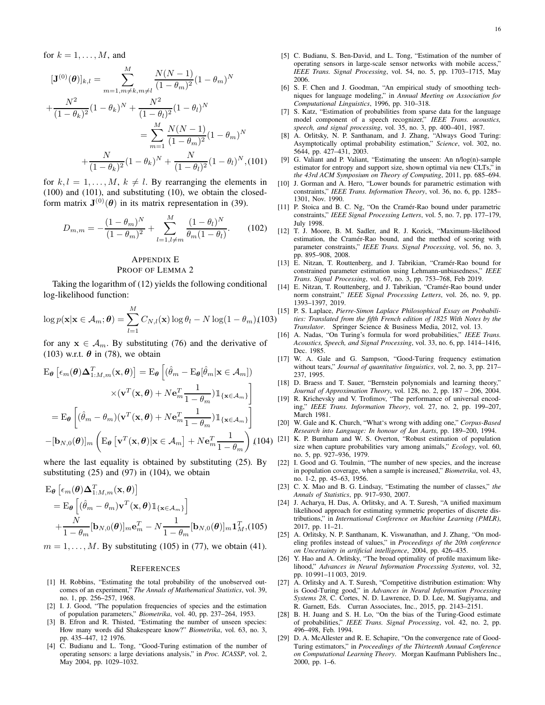for  $k = 1, \ldots, M$ , and

$$
[\mathbf{J}^{(0)}(\boldsymbol{\theta})]_{k,l} = \sum_{m=1, m \neq k, m \neq l}^{M} \frac{N(N-1)}{(1-\theta_m)^2} (1-\theta_m)^N
$$

$$
+\frac{N^2}{(1-\theta_k)^2} (1-\theta_k)^N + \frac{N^2}{(1-\theta_l)^2} (1-\theta_l)^N
$$

$$
=\sum_{m=1}^{M} \frac{N(N-1)}{(1-\theta_m)^2} (1-\theta_m)^N
$$

$$
+\frac{N}{(1-\theta_k)^2} (1-\theta_k)^N + \frac{N}{(1-\theta_l)^2} (1-\theta_l)^N, \text{(101)}
$$

for  $k, l = 1, \ldots, M, k \neq l$ . By rearranging the elements in (100) and (101), and substituting (10), we obtain the closedform matrix  $J^{(0)}(\theta)$  in its matrix representation in (39).

$$
D_{m,m} = -\frac{(1-\theta_m)^N}{(1-\theta_m)^2} + \sum_{l=1, l \neq m}^{M} \frac{(1-\theta_l)^N}{\theta_m(1-\theta_l)}.
$$
 (102)

# APPENDIX E PROOF OF LEMMA 2

Taking the logarithm of (12) yields the following conditional log-likelihood function:

$$
\log p(\mathbf{x}|\mathbf{x} \in \mathcal{A}_m; \boldsymbol{\theta}) = \sum_{l=1}^{M} C_{N,l}(\mathbf{x}) \log \theta_l - N \log(1 - \theta_m)
$$
(103)

for any  $x \in A_m$ . By substituting (76) and the derivative of (103) w.r.t.  $\theta$  in (78), we obtain

$$
\mathbf{E}_{\theta} \left[ \epsilon_m(\theta) \Delta_{1:M,m}^T(\mathbf{x}, \theta) \right] = \mathbf{E}_{\theta} \left[ (\hat{\theta}_m - \mathbf{E}_{\theta} [\hat{\theta}_m | \mathbf{x} \in \mathcal{A}_m]) \right] \times (\mathbf{v}^T(\mathbf{x}, \theta) + N \mathbf{e}_m^T \frac{1}{1 - \theta_m}) \mathbb{1}_{\{\mathbf{x} \in \mathcal{A}_m\}} \n= \mathbf{E}_{\theta} \left[ (\hat{\theta}_m - \theta_m) (\mathbf{v}^T(\mathbf{x}, \theta) + N \mathbf{e}_m^T \frac{1}{1 - \theta_m}) \mathbb{1}_{\{\mathbf{x} \in \mathcal{A}_m\}} \right] \n- [\mathbf{b}_{N,0}(\theta)]_m \left( \mathbf{E}_{\theta} \left[ \mathbf{v}^T(\mathbf{x}, \theta) | \mathbf{x} \in \mathcal{A}_m \right] + N \mathbf{e}_m^T \frac{1}{1 - \theta_m} \right) (10)
$$

where the last equality is obtained by substituting (25). By substituting  $(25)$  and  $(97)$  in  $(104)$ , we obtain

$$
\mathbf{E}_{\theta} \left[ \epsilon_m(\theta) \Delta_{1:M,m}^T(\mathbf{x}, \theta) \right]
$$
  
=  $\mathbf{E}_{\theta} \left[ (\hat{\theta}_m - \theta_m) \mathbf{v}^T(\mathbf{x}, \theta) \mathbb{1}_{\{\mathbf{x} \in \mathcal{A}_m\}} \right]$   
+  $\frac{N}{1 - \theta_m} [\mathbf{b}_{N,0}(\theta)]_m \mathbf{e}_m^T - N \frac{1}{1 - \theta_m} [\mathbf{b}_{N,0}(\theta)]_m \mathbf{1}_M^T, (105)$ 

 $m = 1, \ldots, M$ . By substituting (105) in (77), we obtain (41).

#### **REFERENCES**

- [1] H. Robbins, "Estimating the total probability of the unobserved outcomes of an experiment," *The Annals of Mathematical Statistics*, vol. 39, no. 1, pp. 256–257, 1968.
- [2] I. J. Good, "The population frequencies of species and the estimation of population parameters," *Biometrika*, vol. 40, pp. 237–264, 1953.
- [3] B. Efron and R. Thisted, "Estimating the number of unseen species: How many words did Shakespeare know?" *Biometrika*, vol. 63, no. 3, pp. 435–447, 12 1976.
- [4] C. Budianu and L. Tong, "Good-Turing estimation of the number of operating sensors: a large deviations analysis," in *Proc. ICASSP*, vol. 2, May 2004, pp. 1029–1032.
- [5] C. Budianu, S. Ben-David, and L. Tong, "Estimation of the number of operating sensors in large-scale sensor networks with mobile access," *IEEE Trans. Signal Processing*, vol. 54, no. 5, pp. 1703–1715, May 2006.
- [6] S. F. Chen and J. Goodman, "An empirical study of smoothing techniques for language modeling," in *Annual Meeting on Association for Computational Linguistics*, 1996, pp. 310–318.
- [7] S. Katz, "Estimation of probabilities from sparse data for the language model component of a speech recognizer," *IEEE Trans. acoustics, speech, and signal processing*, vol. 35, no. 3, pp. 400–401, 1987.
- [8] A. Orlitsky, N. P. Santhanam, and J. Zhang, "Always Good Turing: Asymptotically optimal probability estimation," *Science*, vol. 302, no. 5644, pp. 427–431, 2003.
- [9] G. Valiant and P. Valiant, "Estimating the unseen: An n/log(n)-sample estimator for entropy and support size, shown optimal via new CLTs," in *the 43rd ACM Symposium on Theory of Computing*, 2011, pp. 685–694.
- [10] J. Gorman and A. Hero, "Lower bounds for parametric estimation with constraints," *IEEE Trans. Information Theory*, vol. 36, no. 6, pp. 1285– 1301, Nov. 1990.
- [11] P. Stoica and B. C. Ng, "On the Cramér-Rao bound under parametric constraints," *IEEE Signal Processing Letters*, vol. 5, no. 7, pp. 177–179, July 1998.
- [12] T. J. Moore, B. M. Sadler, and R. J. Kozick, "Maximum-likelihood estimation, the Cramér-Rao bound, and the method of scoring with parameter constraints," *IEEE Trans. Signal Processing*, vol. 56, no. 3, pp. 895–908, 2008.
- [13] E. Nitzan, T. Routtenberg, and J. Tabrikian, "Cramér-Rao bound for constrained parameter estimation using Lehmann-unbiasedness," *IEEE Trans. Signal Processing*, vol. 67, no. 3, pp. 753–768, Feb 2019.
- [14] E. Nitzan, T. Routtenberg, and J. Tabrikian, "Cramér-Rao bound under norm constraint," *IEEE Signal Processing Letters*, vol. 26, no. 9, pp. 1393–1397, 2019.
- [15] P. S. Laplace, *Pierre-Simon Laplace Philosophical Essay on Probabilities: Translated from the fifth French edition of 1825 With Notes by the Translator*. Springer Science & Business Media, 2012, vol. 13.
- [16] A. Nadas, "On Turing's formula for word probabilities," *IEEE Trans. Acoustics, Speech, and Signal Processing*, vol. 33, no. 6, pp. 1414–1416, Dec. 1985.
- [17] W. A. Gale and G. Sampson, "Good-Turing frequency estimation without tears," *Journal of quantitative linguistics*, vol. 2, no. 3, pp. 217– 237, 1995.
- [18] D. Braess and T. Sauer, "Bernstein polynomials and learning theory," *Journal of Approximation Theory*, vol. 128, no. 2, pp. 187 – 206, 2004.
- [19] R. Krichevsky and V. Trofimov, "The performance of universal encoding," *IEEE Trans. Information Theory*, vol. 27, no. 2, pp. 199–207, March 1981.
- [20] W. Gale and K. Church, "What's wrong with adding one," *Corpus-Based Research into Language: In honour of Jan Aarts*, pp. 189–200, 1994.
- $(104)$  [21] K. P. Burnham and W. S. Overton, "Robust estimation of population" size when capture probabilities vary among animals," *Ecology*, vol. 60, no. 5, pp. 927–936, 1979.
	- [22] I. Good and G. Toulmin, "The number of new species, and the increase in population coverage, when a sample is increased," *Biometrika*, vol. 43, no. 1-2, pp. 45–63, 1956.
	- [23] C. X. Mao and B. G. Lindsay, "Estimating the number of classes," *the Annals of Statistics*, pp. 917–930, 2007.
	- [24] J. Acharya, H. Das, A. Orlitsky, and A. T. Suresh, "A unified maximum likelihood approach for estimating symmetric properties of discrete distributions," in *International Conference on Machine Learning (PMLR)*, 2017, pp. 11–21.
	- [25] A. Orlitsky, N. P. Santhanam, K. Viswanathan, and J. Zhang, "On modeling profiles instead of values," in *Proceedings of the 20th conference on Uncertainty in artificial intelligence*, 2004, pp. 426–435.
	- [26] Y. Hao and A. Orlitsky, "The broad optimality of profile maximum likelihood," *Advances in Neural Information Processing Systems*, vol. 32, pp. 10 991–11 003, 2019.
	- [27] A. Orlitsky and A. T. Suresh, "Competitive distribution estimation: Why is Good-Turing good," in *Advances in Neural Information Processing Systems 28*, C. Cortes, N. D. Lawrence, D. D. Lee, M. Sugiyama, and R. Garnett, Eds. Curran Associates, Inc., 2015, pp. 2143–2151.
	- [28] B. H. Juang and S. H. Lo, "On the bias of the Turing-Good estimate of probabilities," *IEEE Trans. Signal Processing*, vol. 42, no. 2, pp. 496–498, Feb. 1994.
	- [29] D. A. McAllester and R. E. Schapire, "On the convergence rate of Good-Turing estimators," in *Proceedings of the Thirteenth Annual Conference on Computational Learning Theory*. Morgan Kaufmann Publishers Inc., 2000, pp. 1–6.